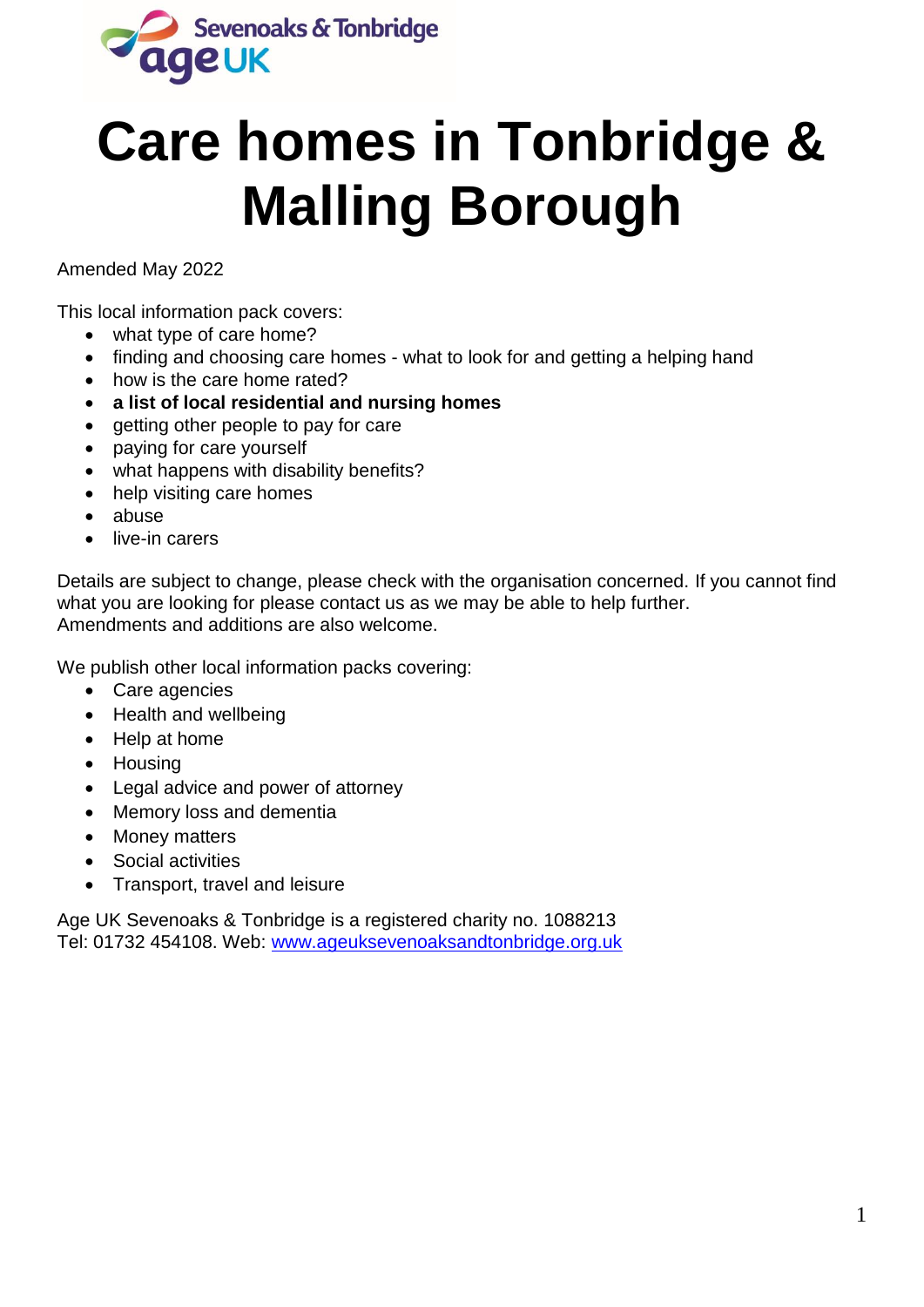

# **Care homes in Tonbridge & Malling Borough**

Amended May 2022

This local information pack covers:

- what type of care home?
- finding and choosing care homes what to look for and getting a helping hand
- how is the care home rated?
- **a list of local residential and nursing homes**
- getting other people to pay for care
- paying for care yourself
- what happens with disability benefits?
- help visiting care homes
- abuse
- **.** live-in carers

Details are subject to change, please check with the organisation concerned. If you cannot find what you are looking for please contact us as we may be able to help further. Amendments and additions are also welcome.

We publish other local information packs covering:

- Care agencies
- Health and wellbeing
- Help at home
- Housing
- Legal advice and power of attorney
- Memory loss and dementia
- Money matters
- Social activities
- Transport, travel and leisure

Age UK Sevenoaks & Tonbridge is a registered charity no. 1088213 Tel: 01732 454108. Web: [www.ageuksevenoaksandtonbridge.org.uk](http://www.ageuksevenoaksandtonbridge.org.uk/)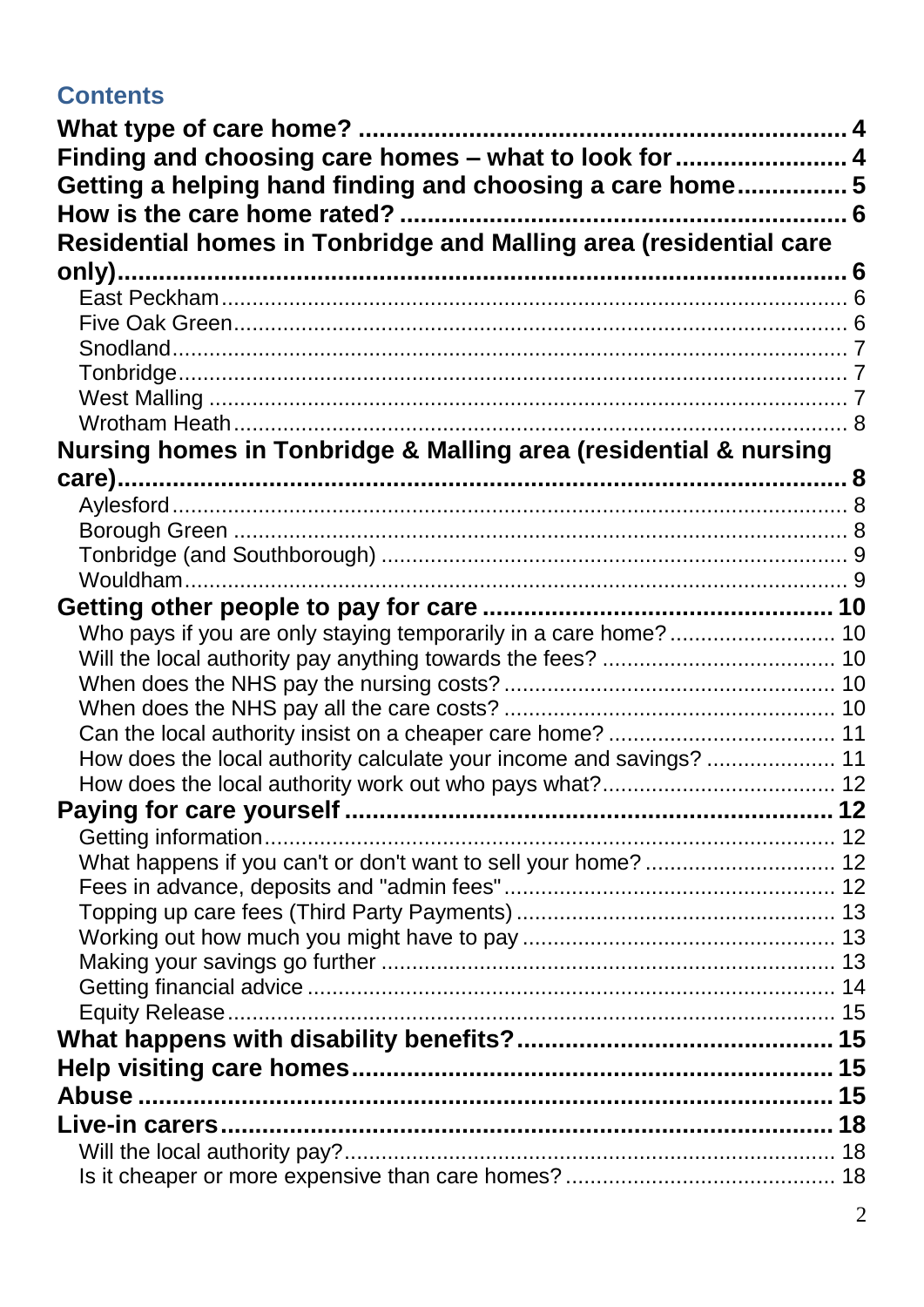# **Contents**

| Finding and choosing care homes - what to look for  4               |  |
|---------------------------------------------------------------------|--|
| Getting a helping hand finding and choosing a care home5            |  |
|                                                                     |  |
| Residential homes in Tonbridge and Malling area (residential care   |  |
|                                                                     |  |
|                                                                     |  |
|                                                                     |  |
|                                                                     |  |
|                                                                     |  |
|                                                                     |  |
| Nursing homes in Tonbridge & Malling area (residential & nursing    |  |
|                                                                     |  |
|                                                                     |  |
|                                                                     |  |
|                                                                     |  |
|                                                                     |  |
|                                                                     |  |
| Who pays if you are only staying temporarily in a care home?  10    |  |
|                                                                     |  |
|                                                                     |  |
|                                                                     |  |
|                                                                     |  |
| How does the local authority calculate your income and savings?  11 |  |
|                                                                     |  |
|                                                                     |  |
| What happens if you can't or don't want to sell your home?  12      |  |
|                                                                     |  |
|                                                                     |  |
|                                                                     |  |
|                                                                     |  |
|                                                                     |  |
|                                                                     |  |
|                                                                     |  |
|                                                                     |  |
|                                                                     |  |
|                                                                     |  |
|                                                                     |  |
|                                                                     |  |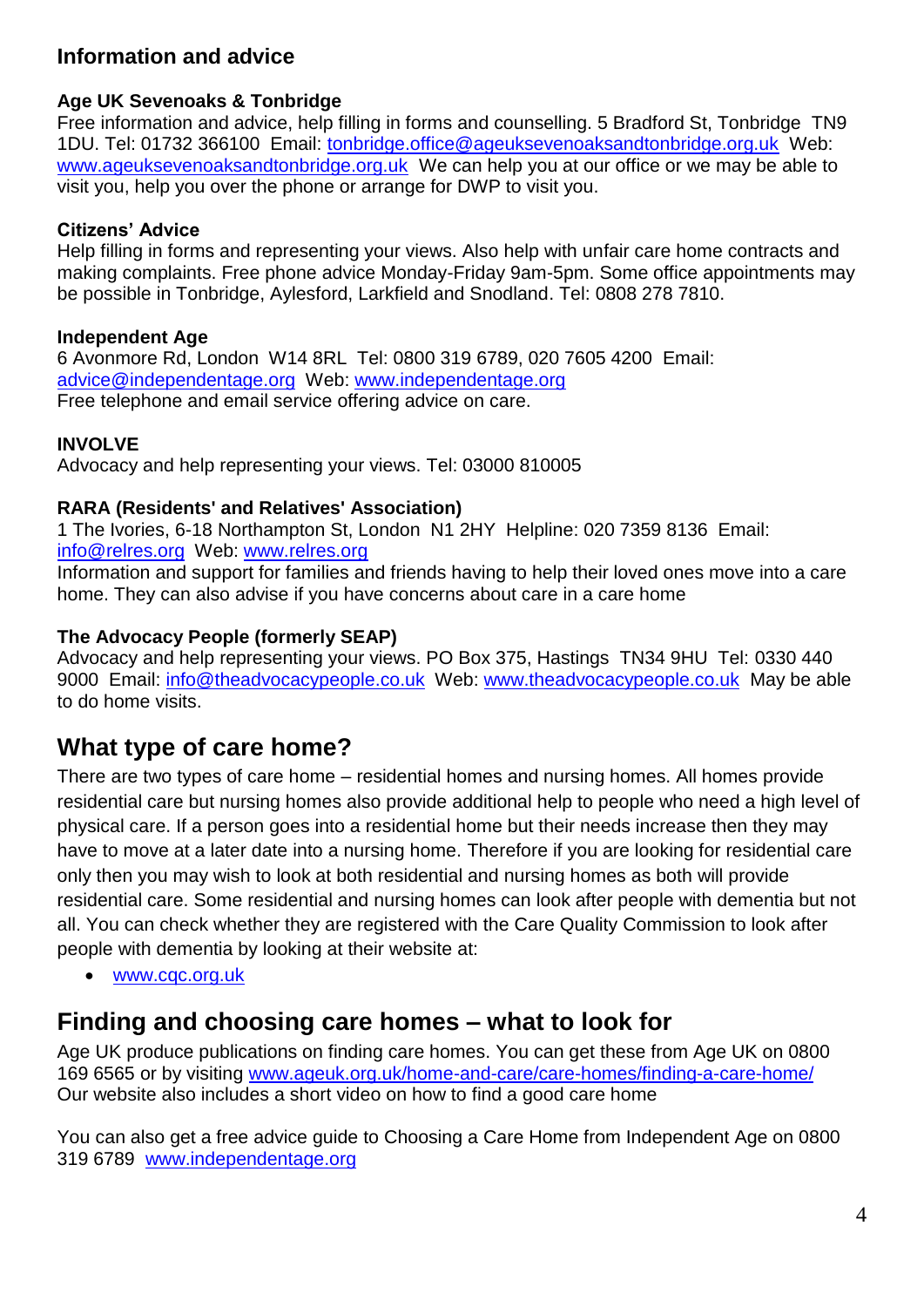### **Information and advice**

#### **Age UK Sevenoaks & Tonbridge**

Free information and advice, help filling in forms and counselling. 5 Bradford St, Tonbridge TN9 1DU. Tel: 01732 366100 Email: [tonbridge.office@ageuksevenoaksandtonbridge.org.uk](mailto:tonbridge.office@ageuksevenoaksandtonbridge.org.uk) Web: [www.ageuksevenoaksandtonbridge.org.uk](http://www.ageuksevenoaksandtonbridge.org.uk/)We can help you at our office or we may be able to visit you, help you over the phone or arrange for DWP to visit you.

### **Citizens' Advice**

Help filling in forms and representing your views. Also help with unfair care home contracts and making complaints. Free phone advice Monday-Friday 9am-5pm. Some office appointments may be possible in Tonbridge, Aylesford, Larkfield and Snodland. Tel: 0808 278 7810.

#### **Independent Age**

6 Avonmore Rd, London W14 8RL Tel: 0800 319 6789, 020 7605 4200 Email: [advice@independentage.org](mailto:advice@independentage.org) Web: [www.independentage.org](http://www.independentage.org/) Free telephone and email service offering advice on care.

#### **INVOLVE**

Advocacy and help representing your views. Tel: 03000 810005

#### **RARA (Residents' and Relatives' Association)**

1 The Ivories, 6-18 Northampton St, London N1 2HY Helpline: 020 7359 8136 Email: info@relres.org Web: www.relres.org

Information and support for families and friends having to help their loved ones move into a care home. They can also advise if you have concerns about care in a care home

#### **The Advocacy People (formerly SEAP)**

Advocacy and help representing your views. PO Box 375, Hastings TN34 9HU Tel: 0330 440 9000 Email: [info@theadvocacypeople.co.uk](mailto:info@theadvocacypeople.co.uk) Web: [www.theadvocacypeople.co.uk](http://www.theadvocacypeople.co.uk/) May be able to do home visits.

# <span id="page-3-0"></span>**What type of care home?**

There are two types of care home – residential homes and nursing homes. All homes provide residential care but nursing homes also provide additional help to people who need a high level of physical care. If a person goes into a residential home but their needs increase then they may have to move at a later date into a nursing home. Therefore if you are looking for residential care only then you may wish to look at both residential and nursing homes as both will provide residential care. Some residential and nursing homes can look after people with dementia but not all. You can check whether they are registered with the Care Quality Commission to look after people with dementia by looking at their website at:

[www.cqc.org.uk](http://www.cqc.org.uk/)

# <span id="page-3-1"></span>**Finding and choosing care homes – what to look for**

Age UK produce publications on finding care homes. You can get these from Age UK on 0800 169 6565 or by visiting www.ageuk.org.uk/home-and-care/care-homes/finding-a-care-home/ Our website also includes a short video on how to find a good care home

You can also get a free advice guide to Choosing a Care Home from Independent Age on 0800 319 6789 [www.independentage.org](http://www.independentage.org/)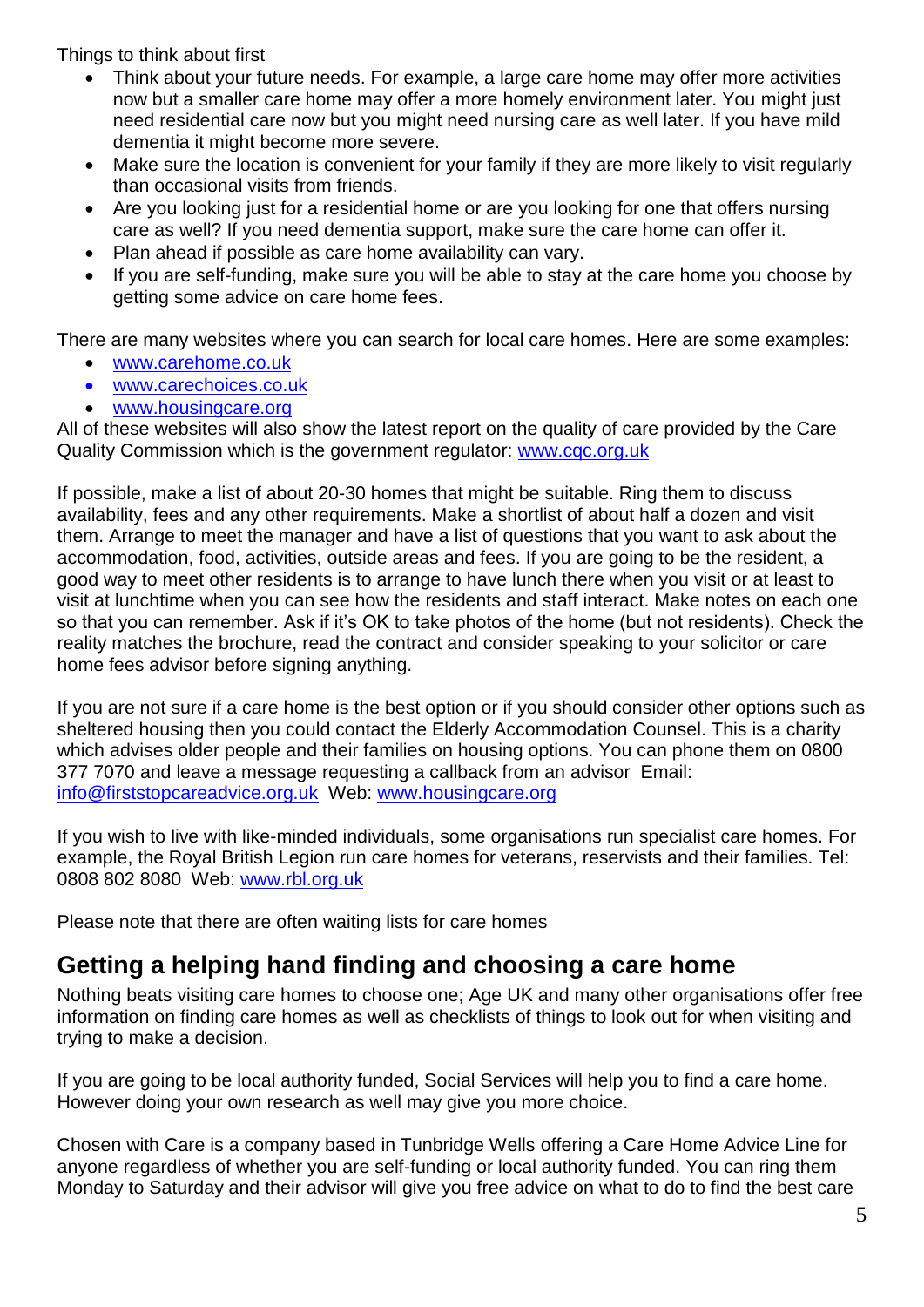Things to think about first

- Think about your future needs. For example, a large care home may offer more activities now but a smaller care home may offer a more homely environment later. You might just need residential care now but you might need nursing care as well later. If you have mild dementia it might become more severe.
- Make sure the location is convenient for your family if they are more likely to visit regularly than occasional visits from friends.
- Are you looking just for a residential home or are you looking for one that offers nursing care as well? If you need dementia support, make sure the care home can offer it.
- Plan ahead if possible as care home availability can vary.
- If you are self-funding, make sure you will be able to stay at the care home you choose by getting some advice on care home fees.

There are many websites where you can search for local care homes. Here are some examples:

- www.carehome.co.uk
- [www.carechoices.co.uk](http://www.carechoices.co.uk/)
- www.housingcare.org

All of these websites will also show the latest report on the quality of care provided by the Care Quality Commission which is the government regulator: www.cqc.org.uk

If possible, make a list of about 20-30 homes that might be suitable. Ring them to discuss availability, fees and any other requirements. Make a shortlist of about half a dozen and visit them. Arrange to meet the manager and have a list of questions that you want to ask about the accommodation, food, activities, outside areas and fees. If you are going to be the resident, a good way to meet other residents is to arrange to have lunch there when you visit or at least to visit at lunchtime when you can see how the residents and staff interact. Make notes on each one so that you can remember. Ask if it's OK to take photos of the home (but not residents). Check the reality matches the brochure, read the contract and consider speaking to your solicitor or care home fees advisor before signing anything.

If you are not sure if a care home is the best option or if you should consider other options such as sheltered housing then you could contact the Elderly Accommodation Counsel. This is a charity which advises older people and their families on housing options. You can phone them on 0800 377 7070 and leave a message requesting a callback from an advisor Email: info@firststopcareadvice.org.uk Web: www.housingcare.org

If you wish to live with like-minded individuals, some organisations run specialist care homes. For example, the Royal British Legion run care homes for veterans, reservists and their families. Tel: 0808 802 8080 Web: www.rbl.org.uk

Please note that there are often waiting lists for care homes

# <span id="page-4-0"></span>**Getting a helping hand finding and choosing a care home**

Nothing beats visiting care homes to choose one; Age UK and many other organisations offer free information on finding care homes as well as checklists of things to look out for when visiting and trying to make a decision.

If you are going to be local authority funded, Social Services will help you to find a care home. However doing your own research as well may give you more choice.

Chosen with Care is a company based in Tunbridge Wells offering a Care Home Advice Line for anyone regardless of whether you are self-funding or local authority funded. You can ring them Monday to Saturday and their advisor will give you free advice on what to do to find the best care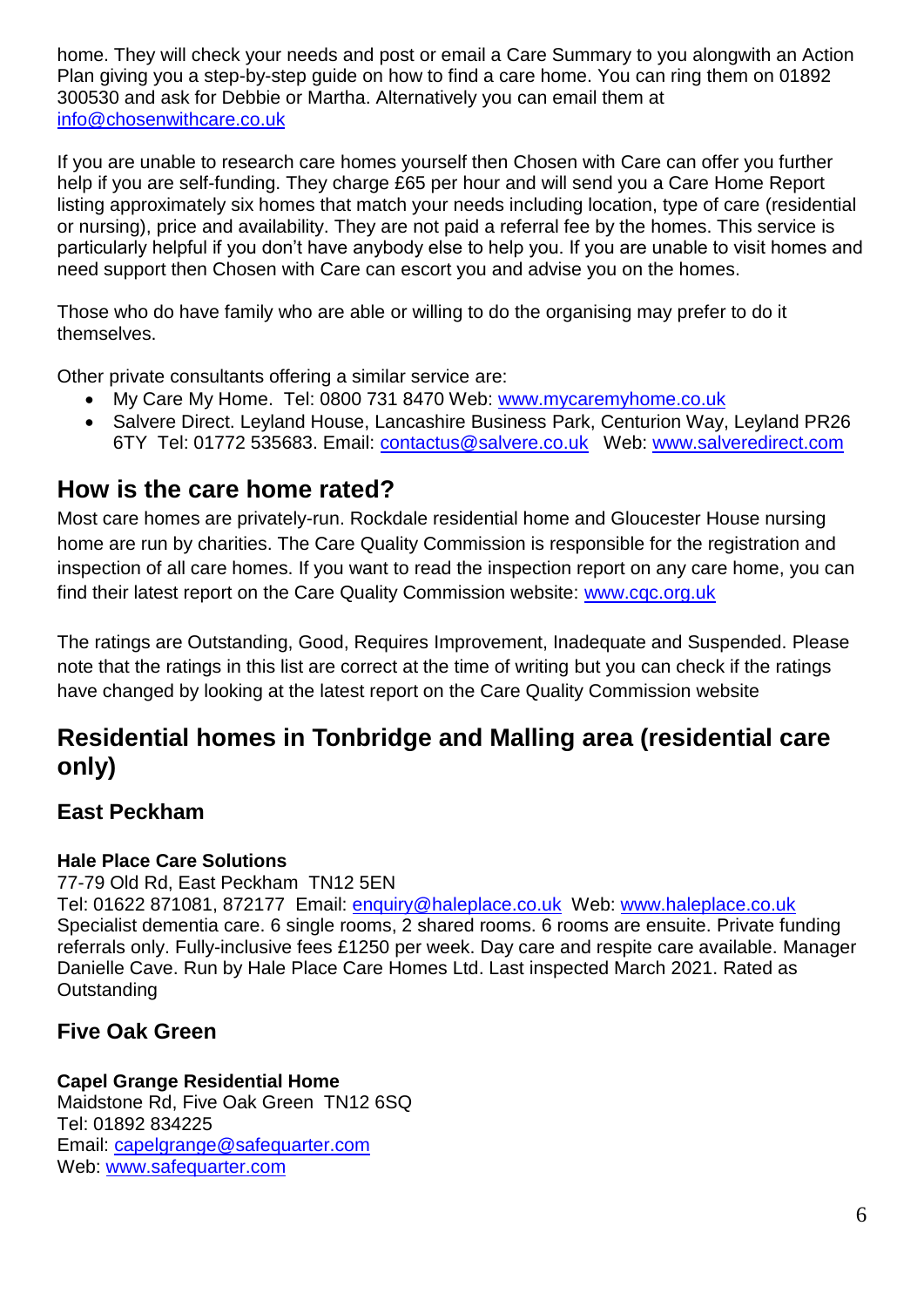home. They will check your needs and post or email a Care Summary to you alongwith an Action Plan giving you a step-by-step guide on how to find a care home. You can ring them on 01892 300530 and ask for Debbie or Martha. Alternatively you can email them at [info@chosenwithcare.co.uk](mailto:info@chosenwithcare.co.uk)

If you are unable to research care homes yourself then Chosen with Care can offer you further help if you are self-funding. They charge £65 per hour and will send you a Care Home Report listing approximately six homes that match your needs including location, type of care (residential or nursing), price and availability. They are not paid a referral fee by the homes. This service is particularly helpful if you don't have anybody else to help you. If you are unable to visit homes and need support then Chosen with Care can escort you and advise you on the homes.

Those who do have family who are able or willing to do the organising may prefer to do it themselves.

Other private consultants offering a similar service are:

- My Care My Home. Tel: 0800 731 8470 Web: [www.mycaremyhome.co.uk](http://www.mycaremyhome.co.uk/)
- Salvere Direct, Levland House, Lancashire Business Park, Centurion Way, Levland PR26 6TY Tel: 01772 535683. Email: [contactus@salvere.co.uk](mailto:contactus@salvere.co.uk) Web: [www.salveredirect.com](http://www.salveredirect.com/)

# <span id="page-5-0"></span>**How is the care home rated?**

Most care homes are privately-run. Rockdale residential home and Gloucester House nursing home are run by charities. The Care Quality Commission is responsible for the registration and inspection of all care homes. If you want to read the inspection report on any care home, you can find their latest report on the Care Quality Commission website: [www.cqc.org.uk](http://www.cqc.org.uk/)

The ratings are Outstanding, Good, Requires Improvement, Inadequate and Suspended. Please note that the ratings in this list are correct at the time of writing but you can check if the ratings have changed by looking at the latest report on the Care Quality Commission website

# <span id="page-5-1"></span>**Residential homes in Tonbridge and Malling area (residential care only)**

# <span id="page-5-2"></span>**East Peckham**

### **Hale Place Care Solutions**

77-79 Old Rd, East Peckham TN12 5EN

Tel: 01622 871081, 872177 Email: [enquiry@haleplace.co.uk](mailto:enquiry@haleplace.co.uk) Web: [www.haleplace.co.uk](http://www.haleplace.co.uk/) Specialist dementia care. 6 single rooms, 2 shared rooms. 6 rooms are ensuite. Private funding referrals only. Fully-inclusive fees £1250 per week. Day care and respite care available. Manager Danielle Cave. Run by Hale Place Care Homes Ltd. Last inspected March 2021. Rated as **Outstanding** 

# <span id="page-5-3"></span>**Five Oak Green**

### **Capel Grange Residential Home**

Maidstone Rd, Five Oak Green TN12 6SQ Tel: 01892 834225 Email: [capelgrange@safequarter.com](mailto:capelgrange@safequarter.com) Web: [www.safequarter.com](http://www.safequarter.com/)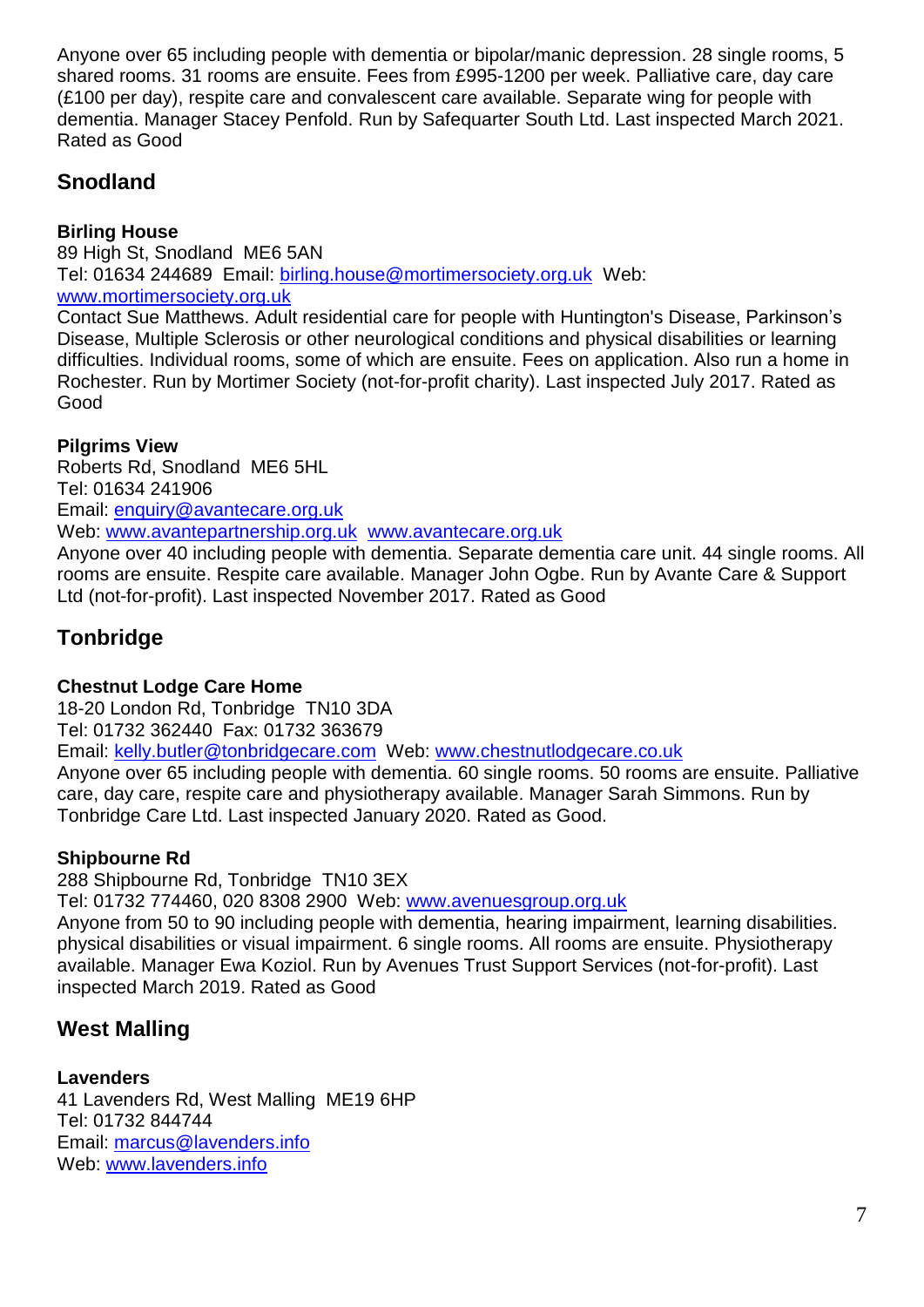Anyone over 65 including people with dementia or bipolar/manic depression. 28 single rooms, 5 shared rooms. 31 rooms are ensuite. Fees from £995-1200 per week. Palliative care, day care (£100 per day), respite care and convalescent care available. Separate wing for people with dementia. Manager Stacey Penfold. Run by Safequarter South Ltd. Last inspected March 2021. Rated as Good

# <span id="page-6-0"></span>**Snodland**

#### **Birling House**

89 High St, Snodland ME6 5AN Tel: 01634 244689 Email: [birling.house@mortimersociety.org.uk](mailto:birling.house@mortimersociety.org.uk) Web: www.mortimersociety.org.uk

Contact Sue Matthews. Adult residential care for people with Huntington's Disease, Parkinson's Disease, Multiple Sclerosis or other neurological conditions and physical disabilities or learning difficulties. Individual rooms, some of which are ensuite. Fees on application. Also run a home in Rochester. Run by Mortimer Society (not-for-profit charity). Last inspected July 2017. Rated as Good

#### **Pilgrims View**

Roberts Rd, Snodland ME6 5HL Tel: 01634 241906 Email: [enquiry@avantecare.org.uk](mailto:enquiry@avantecare.org.uk) Web: [www.avantepartnership.org.uk](http://www.avantepartnership.org.uk/) www.avantecare.org.uk

Anyone over 40 including people with dementia. Separate dementia care unit. 44 single rooms. All rooms are ensuite. Respite care available. Manager John Ogbe. Run by Avante Care & Support Ltd (not-for-profit). Last inspected November 2017. Rated as Good

# <span id="page-6-1"></span>**Tonbridge**

### **Chestnut Lodge Care Home**

18-20 London Rd, Tonbridge TN10 3DA

Tel: 01732 362440 Fax: 01732 363679

Email: [kelly.butler@tonbridgecare.com](mailto:kelly.butler@tonbridgecare.com) Web: [www.chestnutlodgecare.co.uk](http://www.chestnutlodgecare.co.uk/)

Anyone over 65 including people with dementia. 60 single rooms. 50 rooms are ensuite. Palliative care, day care, respite care and physiotherapy available. Manager Sarah Simmons. Run by Tonbridge Care Ltd. Last inspected January 2020. Rated as Good.

### **Shipbourne Rd**

288 Shipbourne Rd, Tonbridge TN10 3EX

Tel: 01732 774460, 020 8308 2900 Web: www.avenuesgroup.org.uk

Anyone from 50 to 90 including people with dementia, hearing impairment, learning disabilities. physical disabilities or visual impairment. 6 single rooms. All rooms are ensuite. Physiotherapy available. Manager Ewa Koziol. Run by Avenues Trust Support Services (not-for-profit). Last inspected March 2019. Rated as Good

# <span id="page-6-2"></span>**West Malling**

### **Lavenders**

41 Lavenders Rd, West Malling ME19 6HP Tel: 01732 844744 Email: [marcus@lavenders.info](mailto:marcus@lavenders.info) Web: [www.lavenders.info](http://www.lavenders.info/)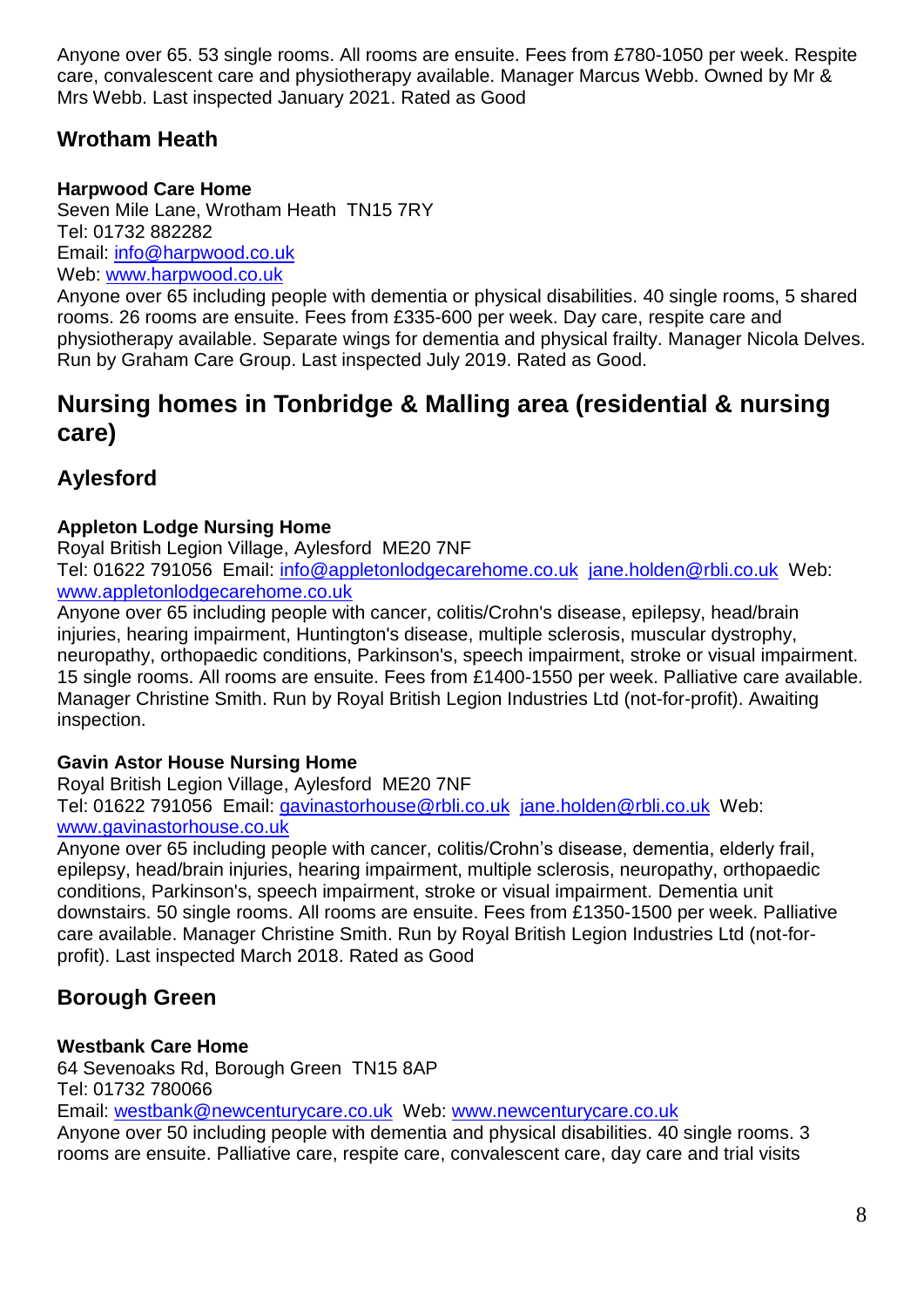Anyone over 65. 53 single rooms. All rooms are ensuite. Fees from £780-1050 per week. Respite care, convalescent care and physiotherapy available. Manager Marcus Webb. Owned by Mr & Mrs Webb. Last inspected January 2021. Rated as Good

# <span id="page-7-0"></span>**Wrotham Heath**

### **Harpwood Care Home**

Seven Mile Lane, Wrotham Heath TN15 7RY Tel: 01732 882282 Email: [info@harpwood.co.uk](mailto:info@harpwood.co.uk) Web: [www.harpwood.co.uk](http://www.harpwood.co.uk/)

Anyone over 65 including people with dementia or physical disabilities. 40 single rooms, 5 shared rooms. 26 rooms are ensuite. Fees from £335-600 per week. Day care, respite care and physiotherapy available. Separate wings for dementia and physical frailty. Manager Nicola Delves. Run by Graham Care Group. Last inspected July 2019. Rated as Good.

# <span id="page-7-1"></span>**Nursing homes in Tonbridge & Malling area (residential & nursing care)**

# <span id="page-7-2"></span>**Aylesford**

### **Appleton Lodge Nursing Home**

Royal British Legion Village, Aylesford ME20 7NF

Tel: 01622 791056 Email: [info@appletonlodgecarehome.co.uk](mailto:info@appletonlodgecarehome.co.uk) [jane.holden@rbli.co.uk](mailto:jane.holden@rbli.co.uk) Web: [www.appletonlodgecarehome.co.uk](http://www.appletonlodgecarehome.co.uk/)

Anyone over 65 including people with cancer, colitis/Crohn's disease, epilepsy, head/brain injuries, hearing impairment, Huntington's disease, multiple sclerosis, muscular dystrophy, neuropathy, orthopaedic conditions, Parkinson's, speech impairment, stroke or visual impairment. 15 single rooms. All rooms are ensuite. Fees from £1400-1550 per week. Palliative care available. Manager Christine Smith. Run by Royal British Legion Industries Ltd (not-for-profit). Awaiting inspection.

### **Gavin Astor House Nursing Home**

Royal British Legion Village, Aylesford ME20 7NF Tel: 01622 791056 Email: [gavinastorhouse@rbli.co.uk](mailto:gavinastorhouse@rbli.co.uk) [jane.holden@rbli.co.uk](mailto:jane.holden@rbli.co.uk) Web: [www.gavinastorhouse.co.uk](http://www.gavinastorhouse.co.uk/)

Anyone over 65 including people with cancer, colitis/Crohn's disease, dementia, elderly frail, epilepsy, head/brain injuries, hearing impairment, multiple sclerosis, neuropathy, orthopaedic conditions, Parkinson's, speech impairment, stroke or visual impairment. Dementia unit downstairs. 50 single rooms. All rooms are ensuite. Fees from £1350-1500 per week. Palliative care available. Manager Christine Smith. Run by Royal British Legion Industries Ltd (not-forprofit). Last inspected March 2018. Rated as Good

# <span id="page-7-3"></span>**Borough Green**

### **Westbank Care Home**

64 Sevenoaks Rd, Borough Green TN15 8AP Tel: 01732 780066 Email: [westbank@newcenturycare.co.uk](mailto:westbank@newcenturycare.co.uk) Web: [www.newcenturycare.co.uk](http://www.newcenturycare.co.uk/) Anyone over 50 including people with dementia and physical disabilities. 40 single rooms. 3 rooms are ensuite. Palliative care, respite care, convalescent care, day care and trial visits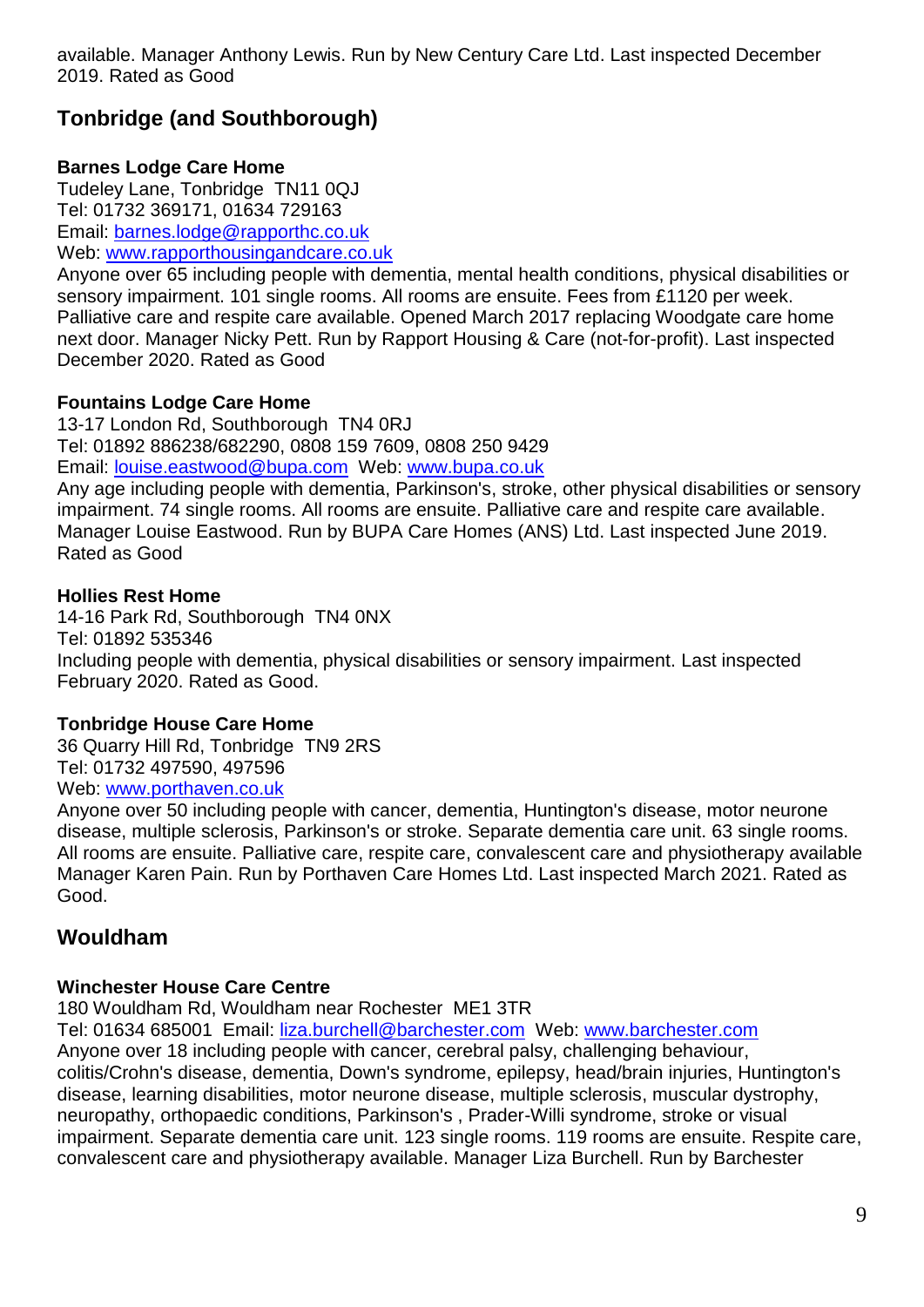# <span id="page-8-0"></span>**Tonbridge (and Southborough)**

### **Barnes Lodge Care Home**

Tudeley Lane, Tonbridge TN11 0QJ Tel: 01732 369171, 01634 729163 Email: [barnes.lodge@rapporthc.co.uk](mailto:barnes.lodge@rapporthc.co.uk) Web: [www.rapporthousingandcare.co.uk](http://www.rapporthousingandcare.co.uk/)

Anyone over 65 including people with dementia, mental health conditions, physical disabilities or sensory impairment. 101 single rooms. All rooms are ensuite. Fees from £1120 per week. Palliative care and respite care available. Opened March 2017 replacing Woodgate care home next door. Manager Nicky Pett. Run by Rapport Housing & Care (not-for-profit). Last inspected December 2020. Rated as Good

### **Fountains Lodge Care Home**

13-17 London Rd, Southborough TN4 0RJ Tel: 01892 886238/682290, 0808 159 7609, 0808 250 9429 Email: [louise.eastwood@bupa.com](mailto:louise.eastwood@bupa.com) Web: [www.bupa.co.uk](http://www.bupa.co.uk/)

Any age including people with dementia, Parkinson's, stroke, other physical disabilities or sensory impairment. 74 single rooms. All rooms are ensuite. Palliative care and respite care available. Manager Louise Eastwood. Run by BUPA Care Homes (ANS) Ltd. Last inspected June 2019. Rated as Good

#### **Hollies Rest Home**

14-16 Park Rd, Southborough TN4 0NX Tel: 01892 535346 Including people with dementia, physical disabilities or sensory impairment. Last inspected February 2020. Rated as Good.

### **Tonbridge House Care Home**

36 Quarry Hill Rd, Tonbridge TN9 2RS Tel: 01732 497590, 497596

Web: [www.porthaven.co.uk](http://www.porthaven.co.uk/)

Anyone over 50 including people with cancer, dementia, Huntington's disease, motor neurone disease, multiple sclerosis, Parkinson's or stroke. Separate dementia care unit. 63 single rooms. All rooms are ensuite. Palliative care, respite care, convalescent care and physiotherapy available Manager Karen Pain. Run by Porthaven Care Homes Ltd. Last inspected March 2021. Rated as Good.

# <span id="page-8-1"></span>**Wouldham**

### **Winchester House Care Centre**

180 Wouldham Rd, Wouldham near Rochester ME1 3TR

Tel: 01634 685001 Email: [liza.burchell@barchester.com](mailto:liza.burchell@barchester.com) Web: www.barchester.com Anyone over 18 including people with cancer, cerebral palsy, challenging behaviour, colitis/Crohn's disease, dementia, Down's syndrome, epilepsy, head/brain injuries, Huntington's disease, learning disabilities, motor neurone disease, multiple sclerosis, muscular dystrophy, neuropathy, orthopaedic conditions, Parkinson's , Prader-Willi syndrome, stroke or visual impairment. Separate dementia care unit. 123 single rooms. 119 rooms are ensuite. Respite care, convalescent care and physiotherapy available. Manager Liza Burchell. Run by Barchester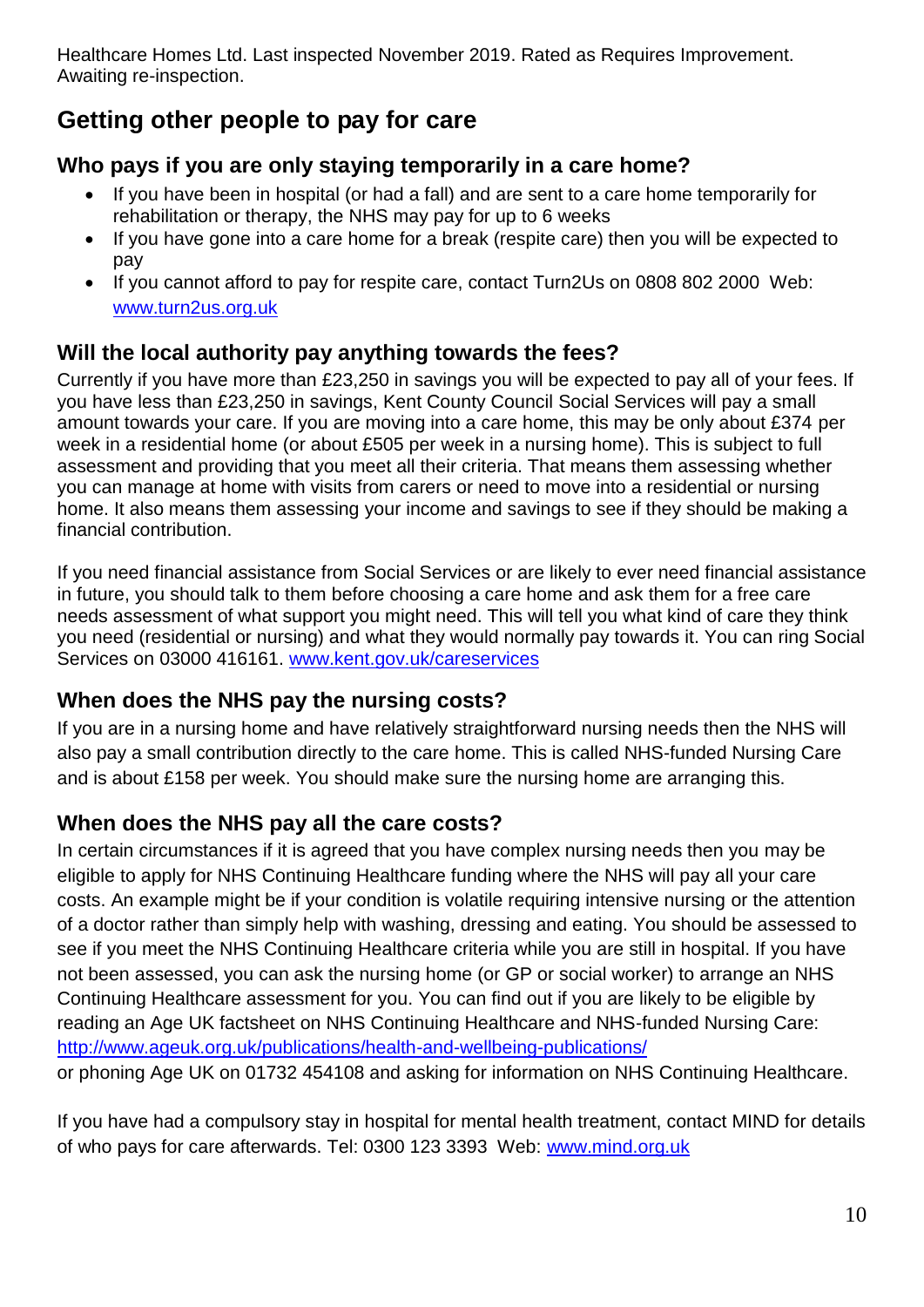Healthcare Homes Ltd. Last inspected November 2019. Rated as Requires Improvement. Awaiting re-inspection.

# <span id="page-9-0"></span>**Getting other people to pay for care**

# <span id="page-9-1"></span>**Who pays if you are only staying temporarily in a care home?**

- If you have been in hospital (or had a fall) and are sent to a care home temporarily for rehabilitation or therapy, the NHS may pay for up to 6 weeks
- If you have gone into a care home for a break (respite care) then you will be expected to pay
- If you cannot afford to pay for respite care, contact Turn2Us on 0808 802 2000 Web: www.turn2us.org.uk

# <span id="page-9-2"></span>**Will the local authority pay anything towards the fees?**

Currently if you have more than £23,250 in savings you will be expected to pay all of your fees. If you have less than £23,250 in savings, Kent County Council Social Services will pay a small amount towards your care. If you are moving into a care home, this may be only about £374 per week in a residential home (or about £505 per week in a nursing home). This is subject to full assessment and providing that you meet all their criteria. That means them assessing whether you can manage at home with visits from carers or need to move into a residential or nursing home. It also means them assessing your income and savings to see if they should be making a financial contribution.

If you need financial assistance from Social Services or are likely to ever need financial assistance in future, you should talk to them before choosing a care home and ask them for a free care needs assessment of what support you might need. This will tell you what kind of care they think you need (residential or nursing) and what they would normally pay towards it. You can ring Social Services on 03000 416161. [www.kent.gov.uk/careservices](http://www.kent.gov.uk/careservices)

# <span id="page-9-3"></span>**When does the NHS pay the nursing costs?**

If you are in a nursing home and have relatively straightforward nursing needs then the NHS will also pay a small contribution directly to the care home. This is called NHS-funded Nursing Care and is about £158 per week. You should make sure the nursing home are arranging this.

# <span id="page-9-4"></span>**When does the NHS pay all the care costs?**

In certain circumstances if it is agreed that you have complex nursing needs then you may be eligible to apply for NHS Continuing Healthcare funding where the NHS will pay all your care costs. An example might be if your condition is volatile requiring intensive nursing or the attention of a doctor rather than simply help with washing, dressing and eating. You should be assessed to see if you meet the NHS Continuing Healthcare criteria while you are still in hospital. If you have not been assessed, you can ask the nursing home (or GP or social worker) to arrange an NHS Continuing Healthcare assessment for you. You can find out if you are likely to be eligible by reading an Age UK factsheet on NHS Continuing Healthcare and NHS-funded Nursing Care: <http://www.ageuk.org.uk/publications/health-and-wellbeing-publications/>

or phoning Age UK on 01732 454108 and asking for information on NHS Continuing Healthcare.

If you have had a compulsory stay in hospital for mental health treatment, contact MIND for details of who pays for care afterwards. Tel: 0300 123 3393 Web: www.mind.org.uk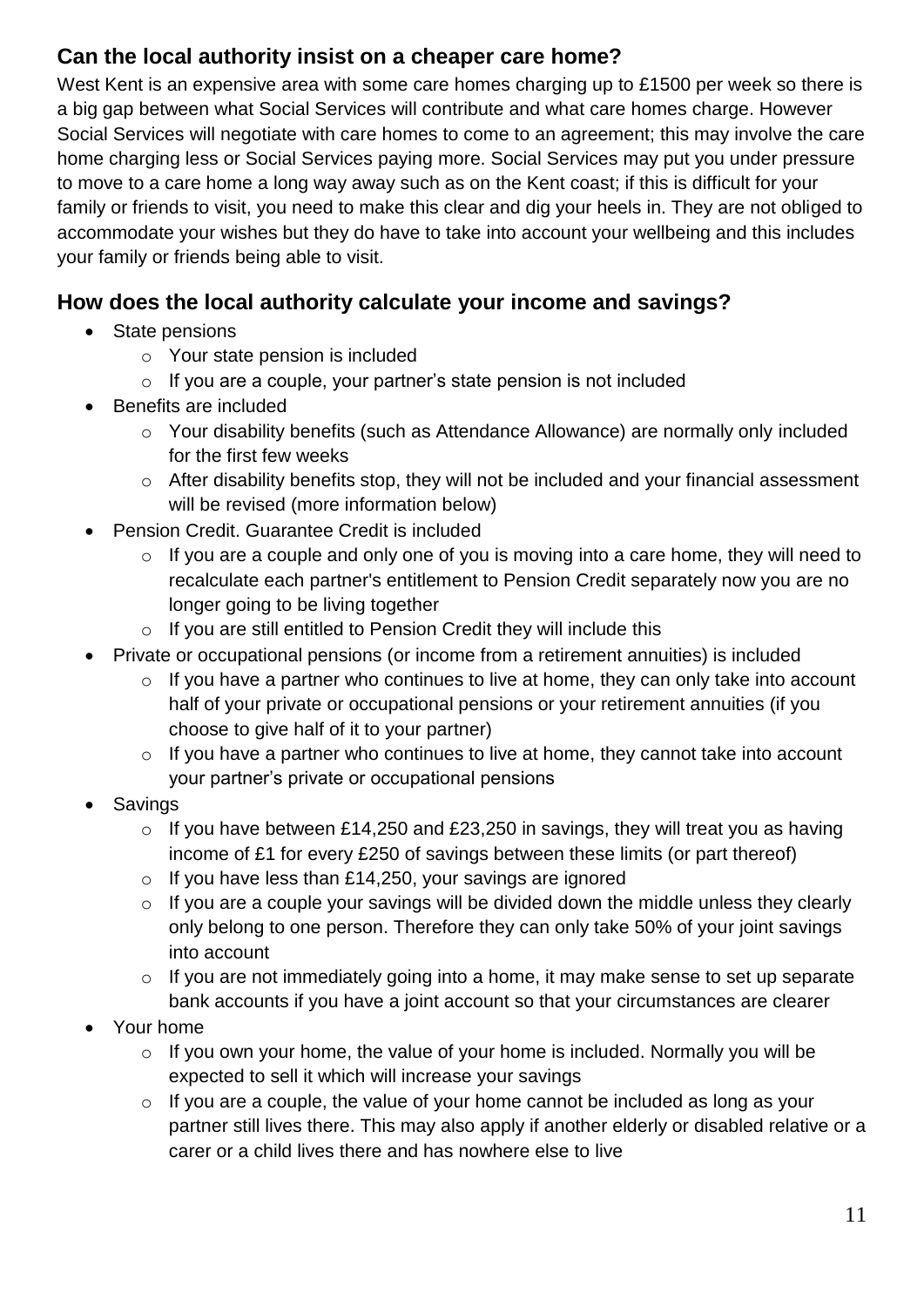# <span id="page-10-0"></span>**Can the local authority insist on a cheaper care home?**

West Kent is an expensive area with some care homes charging up to £1500 per week so there is a big gap between what Social Services will contribute and what care homes charge. However Social Services will negotiate with care homes to come to an agreement; this may involve the care home charging less or Social Services paying more. Social Services may put you under pressure to move to a care home a long way away such as on the Kent coast; if this is difficult for your family or friends to visit, you need to make this clear and dig your heels in. They are not obliged to accommodate your wishes but they do have to take into account your wellbeing and this includes your family or friends being able to visit.

# <span id="page-10-1"></span>**How does the local authority calculate your income and savings?**

- State pensions
	- o Your state pension is included
	- o If you are a couple, your partner's state pension is not included
- Benefits are included
	- o Your disability benefits (such as Attendance Allowance) are normally only included for the first few weeks
	- o After disability benefits stop, they will not be included and your financial assessment will be revised (more information below)
- Pension Credit. Guarantee Credit is included
	- $\circ$  If you are a couple and only one of you is moving into a care home, they will need to recalculate each partner's entitlement to Pension Credit separately now you are no longer going to be living together
	- $\circ$  If you are still entitled to Pension Credit they will include this
- Private or occupational pensions (or income from a retirement annuities) is included
	- $\circ$  If you have a partner who continues to live at home, they can only take into account half of your private or occupational pensions or your retirement annuities (if you choose to give half of it to your partner)
	- $\circ$  If you have a partner who continues to live at home, they cannot take into account your partner's private or occupational pensions
- Savings
	- $\circ$  If you have between £14,250 and £23,250 in savings, they will treat you as having income of £1 for every £250 of savings between these limits (or part thereof)
	- $\circ$  If you have less than £14,250, your savings are ignored
	- $\circ$  If you are a couple your savings will be divided down the middle unless they clearly only belong to one person. Therefore they can only take 50% of your joint savings into account
	- $\circ$  If you are not immediately going into a home, it may make sense to set up separate bank accounts if you have a joint account so that your circumstances are clearer
- Your home
	- $\circ$  If you own your home, the value of your home is included. Normally you will be expected to sell it which will increase your savings
	- $\circ$  If you are a couple, the value of your home cannot be included as long as your partner still lives there. This may also apply if another elderly or disabled relative or a carer or a child lives there and has nowhere else to live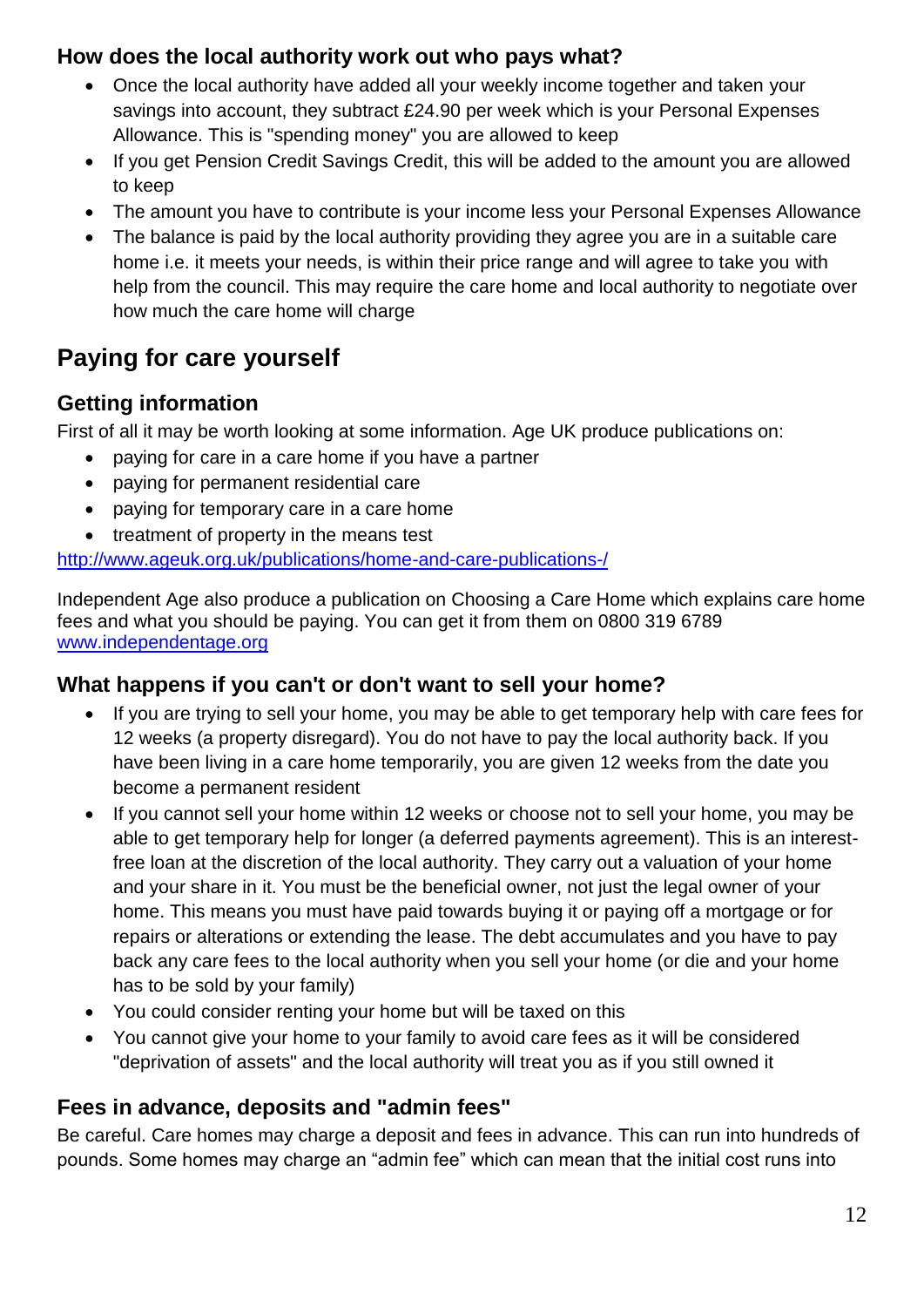# <span id="page-11-0"></span>**How does the local authority work out who pays what?**

- Once the local authority have added all your weekly income together and taken your savings into account, they subtract £24.90 per week which is your Personal Expenses Allowance. This is "spending money" you are allowed to keep
- If you get Pension Credit Savings Credit, this will be added to the amount you are allowed to keep
- The amount you have to contribute is your income less your Personal Expenses Allowance
- The balance is paid by the local authority providing they agree you are in a suitable care home i.e. it meets your needs, is within their price range and will agree to take you with help from the council. This may require the care home and local authority to negotiate over how much the care home will charge

# <span id="page-11-1"></span>**Paying for care yourself**

# <span id="page-11-2"></span>**Getting information**

First of all it may be worth looking at some information. Age UK produce publications on:

- paying for care in a care home if you have a partner
- paying for permanent residential care
- paying for temporary care in a care home
- treatment of property in the means test

<http://www.ageuk.org.uk/publications/home-and-care-publications-/>

Independent Age also produce a publication on Choosing a Care Home which explains care home fees and what you should be paying. You can get it from them on 0800 319 6789 [www.independentage.org](http://www.independentage.org/)

# <span id="page-11-3"></span>**What happens if you can't or don't want to sell your home?**

- If you are trying to sell your home, you may be able to get temporary help with care fees for 12 weeks (a property disregard). You do not have to pay the local authority back. If you have been living in a care home temporarily, you are given 12 weeks from the date you become a permanent resident
- If you cannot sell your home within 12 weeks or choose not to sell your home, you may be able to get temporary help for longer (a deferred payments agreement). This is an interestfree loan at the discretion of the local authority. They carry out a valuation of your home and your share in it. You must be the beneficial owner, not just the legal owner of your home. This means you must have paid towards buying it or paying off a mortgage or for repairs or alterations or extending the lease. The debt accumulates and you have to pay back any care fees to the local authority when you sell your home (or die and your home has to be sold by your family)
- You could consider renting your home but will be taxed on this
- You cannot give your home to your family to avoid care fees as it will be considered "deprivation of assets" and the local authority will treat you as if you still owned it

# <span id="page-11-4"></span>**Fees in advance, deposits and "admin fees"**

Be careful. Care homes may charge a deposit and fees in advance. This can run into hundreds of pounds. Some homes may charge an "admin fee" which can mean that the initial cost runs into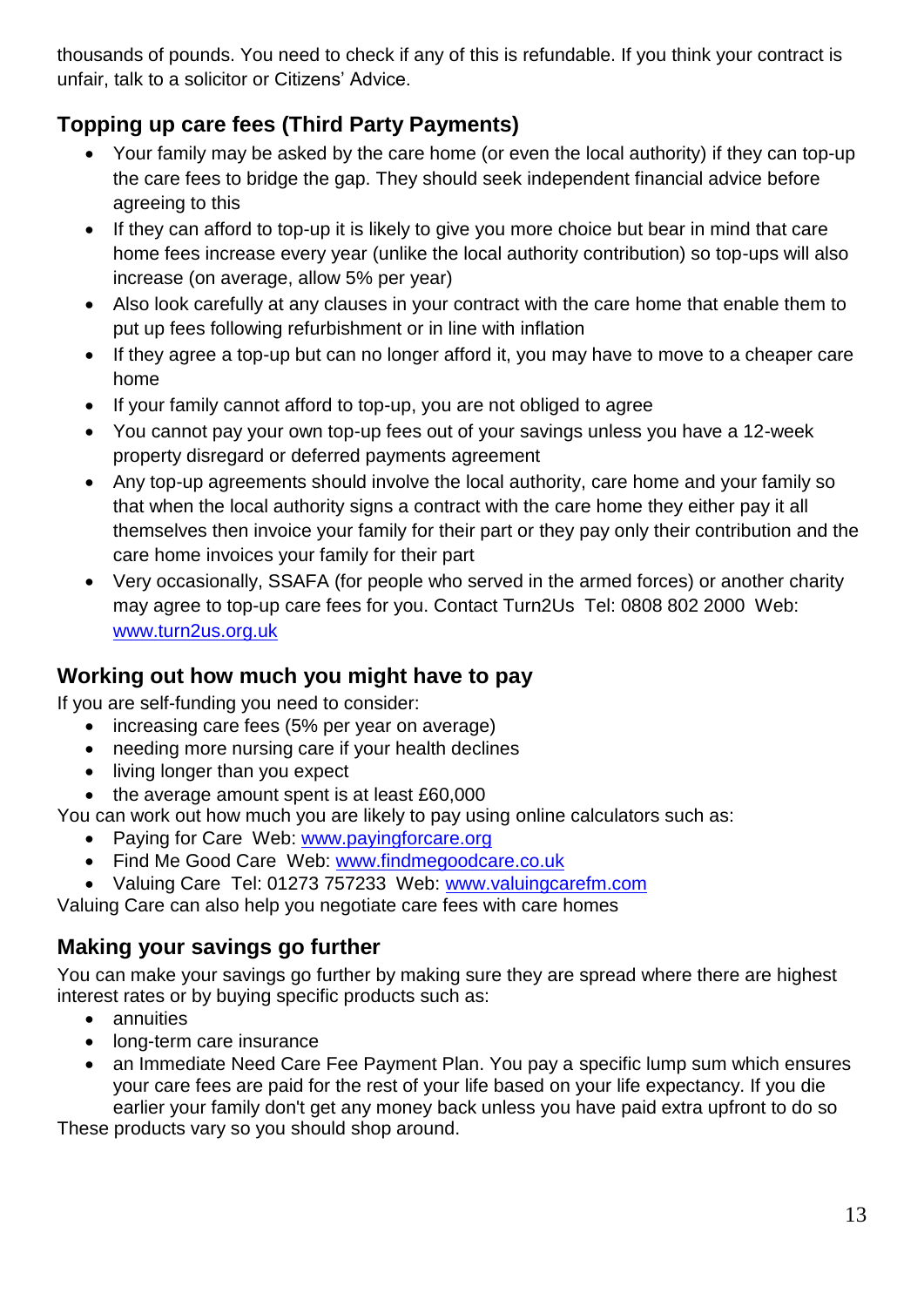thousands of pounds. You need to check if any of this is refundable. If you think your contract is unfair, talk to a solicitor or Citizens' Advice.

# <span id="page-12-0"></span>**Topping up care fees (Third Party Payments)**

- Your family may be asked by the care home (or even the local authority) if they can top-up the care fees to bridge the gap. They should seek independent financial advice before agreeing to this
- If they can afford to top-up it is likely to give you more choice but bear in mind that care home fees increase every year (unlike the local authority contribution) so top-ups will also increase (on average, allow 5% per year)
- Also look carefully at any clauses in your contract with the care home that enable them to put up fees following refurbishment or in line with inflation
- If they agree a top-up but can no longer afford it, you may have to move to a cheaper care home
- If your family cannot afford to top-up, you are not obliged to agree
- You cannot pay your own top-up fees out of your savings unless you have a 12-week property disregard or deferred payments agreement
- Any top-up agreements should involve the local authority, care home and your family so that when the local authority signs a contract with the care home they either pay it all themselves then invoice your family for their part or they pay only their contribution and the care home invoices your family for their part
- Very occasionally, SSAFA (for people who served in the armed forces) or another charity may agree to top-up care fees for you. Contact Turn2Us Tel: 0808 802 2000 Web: www.turn2us.org.uk

# <span id="page-12-1"></span>**Working out how much you might have to pay**

If you are self-funding you need to consider:

- increasing care fees (5% per year on average)
- needing more nursing care if your health declines
- living longer than you expect
- the average amount spent is at least £60,000

You can work out how much you are likely to pay using online calculators such as:

- Paying for Care Web: www.payingforcare.org
- Find Me Good Care Web: www.findmegoodcare.co.uk
- Valuing Care Tel: 01273 757233 Web: www.valuingcarefm.com

Valuing Care can also help you negotiate care fees with care homes

# <span id="page-12-2"></span>**Making your savings go further**

You can make your savings go further by making sure they are spread where there are highest interest rates or by buying specific products such as:

- annuities
- long-term care insurance
- an Immediate Need Care Fee Payment Plan. You pay a specific lump sum which ensures your care fees are paid for the rest of your life based on your life expectancy. If you die earlier your family don't get any money back unless you have paid extra upfront to do so

These products vary so you should shop around.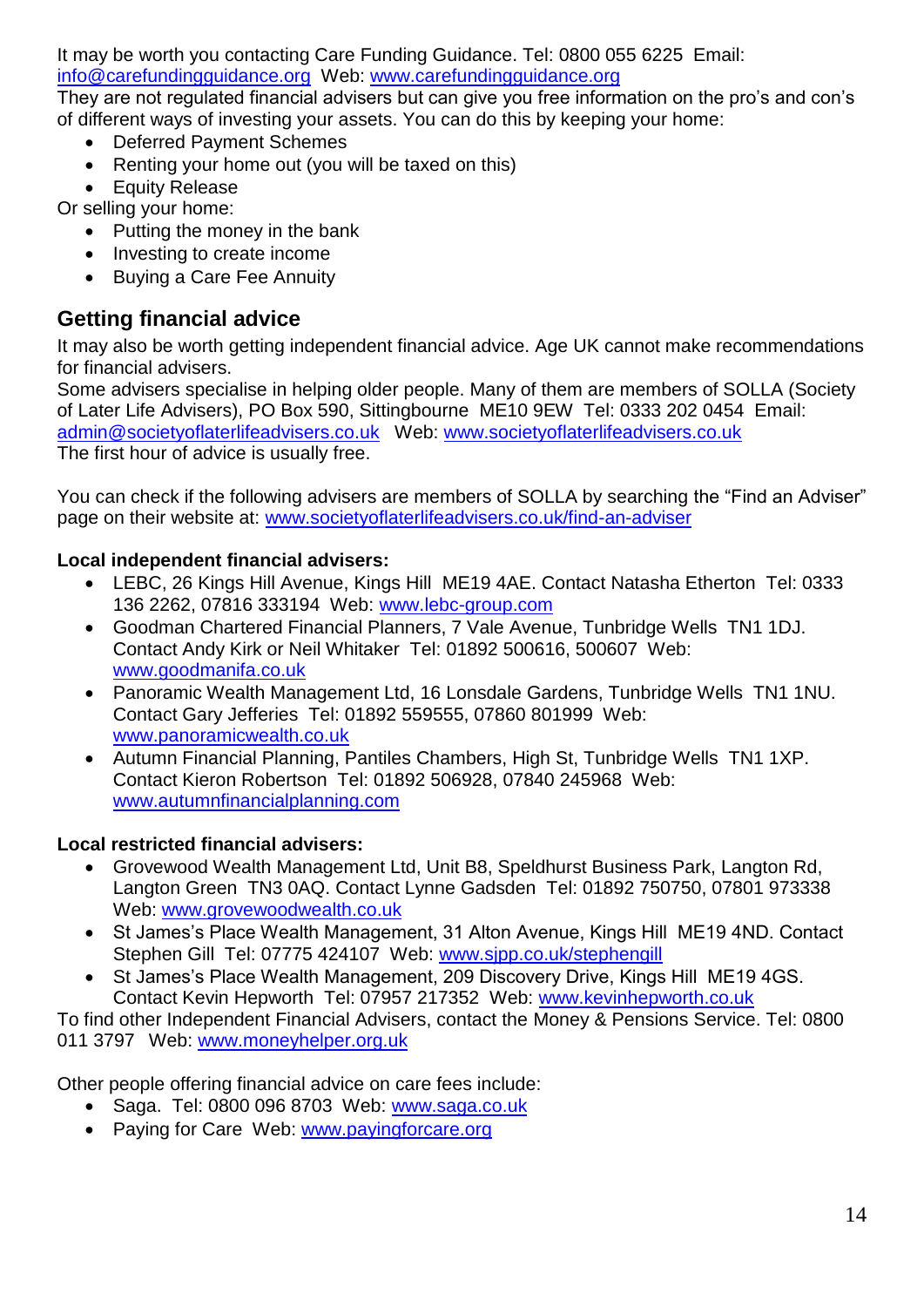It may be worth you contacting Care Funding Guidance. Tel: 0800 055 6225 Email:

#### [info@carefundingguidance.org](mailto:info@carefundingguidance.org) Web: [www.carefundingguidance.org](http://www.carefundingguidance.org/)

They are not regulated financial advisers but can give you free information on the pro's and con's of different ways of investing your assets. You can do this by keeping your home:

- Deferred Payment Schemes
- Renting your home out (you will be taxed on this)
- Equity Release

Or selling your home:

- Putting the money in the bank
- Investing to create income
- Buying a Care Fee Annuity

# <span id="page-13-0"></span>**Getting financial advice**

It may also be worth getting independent financial advice. Age UK cannot make recommendations for financial advisers.

Some advisers specialise in helping older people. Many of them are members of SOLLA (Society of Later Life Advisers), PO Box 590, Sittingbourne ME10 9EW Tel: 0333 202 0454 Email: [admin@societyoflaterlifeadvisers.co.uk](mailto:admin@societyoflaterlifeadvisers.co.uk) Web: [www.societyoflaterlifeadvisers.co.uk](http://www.societyoflaterlifeadvisers.co.uk/) The first hour of advice is usually free.

You can check if the following advisers are members of SOLLA by searching the "Find an Adviser" page on their website at: [www.societyoflaterlifeadvisers.co.uk/find-an-adviser](http://www.societyoflaterlifeadvisers.co.uk/find-an-adviser)

#### **Local independent financial advisers:**

- LEBC, 26 Kings Hill Avenue, Kings Hill ME19 4AE. Contact Natasha Etherton Tel: 0333 136 2262, 07816 333194 Web: [www.lebc-group.com](http://www.lebc-group.com/)
- Goodman Chartered Financial Planners, 7 Vale Avenue, Tunbridge Wells TN1 1DJ. Contact Andy Kirk or Neil Whitaker Tel: 01892 500616, 500607 Web: [www.goodmanifa.co.uk](http://www.goodmanifa.co.uk/)
- Panoramic Wealth Management Ltd, 16 Lonsdale Gardens, Tunbridge Wells TN1 1NU. Contact Gary Jefferies Tel: 01892 559555, 07860 801999 Web: [www.panoramicwealth.co.uk](http://www.panoramicwealth.co.uk/)
- Autumn Financial Planning, Pantiles Chambers, High St, Tunbridge Wells TN1 1XP. Contact Kieron Robertson Tel: 01892 506928, 07840 245968 Web: [www.autumnfinancialplanning.com](http://www.autumnfinancialplanning.com/)

#### **Local restricted financial advisers:**

- Grovewood Wealth Management Ltd, Unit B8, Speldhurst Business Park, Langton Rd, Langton Green TN3 0AQ. Contact Lynne Gadsden Tel: 01892 750750, 07801 973338 Web: [www.grovewoodwealth.co.uk](http://www.grovewoodwealth.co.uk/)
- St James's Place Wealth Management, 31 Alton Avenue, Kings Hill ME19 4ND. Contact Stephen Gill Tel: 07775 424107 Web: [www.sjpp.co.uk/stephengill](http://www.sjpp.co.uk/stephengill)
- St James's Place Wealth Management, 209 Discovery Drive, Kings Hill ME19 4GS. Contact Kevin Hepworth Tel: 07957 217352 Web: [www.kevinhepworth.co.uk](http://www.kevinhepworth.co.uk/)

To find other Independent Financial Advisers, contact the Money & Pensions Service. Tel: 0800 011 3797 Web: [www.moneyhelper.org.uk](http://www.moneyhelper.org.uk/)

Other people offering financial advice on care fees include:

- Saga. Tel: 0800 096 8703 Web: www.saga.co.uk
- Paying for Care Web: [www.payingforcare.org](http://www.payingforcare.org/)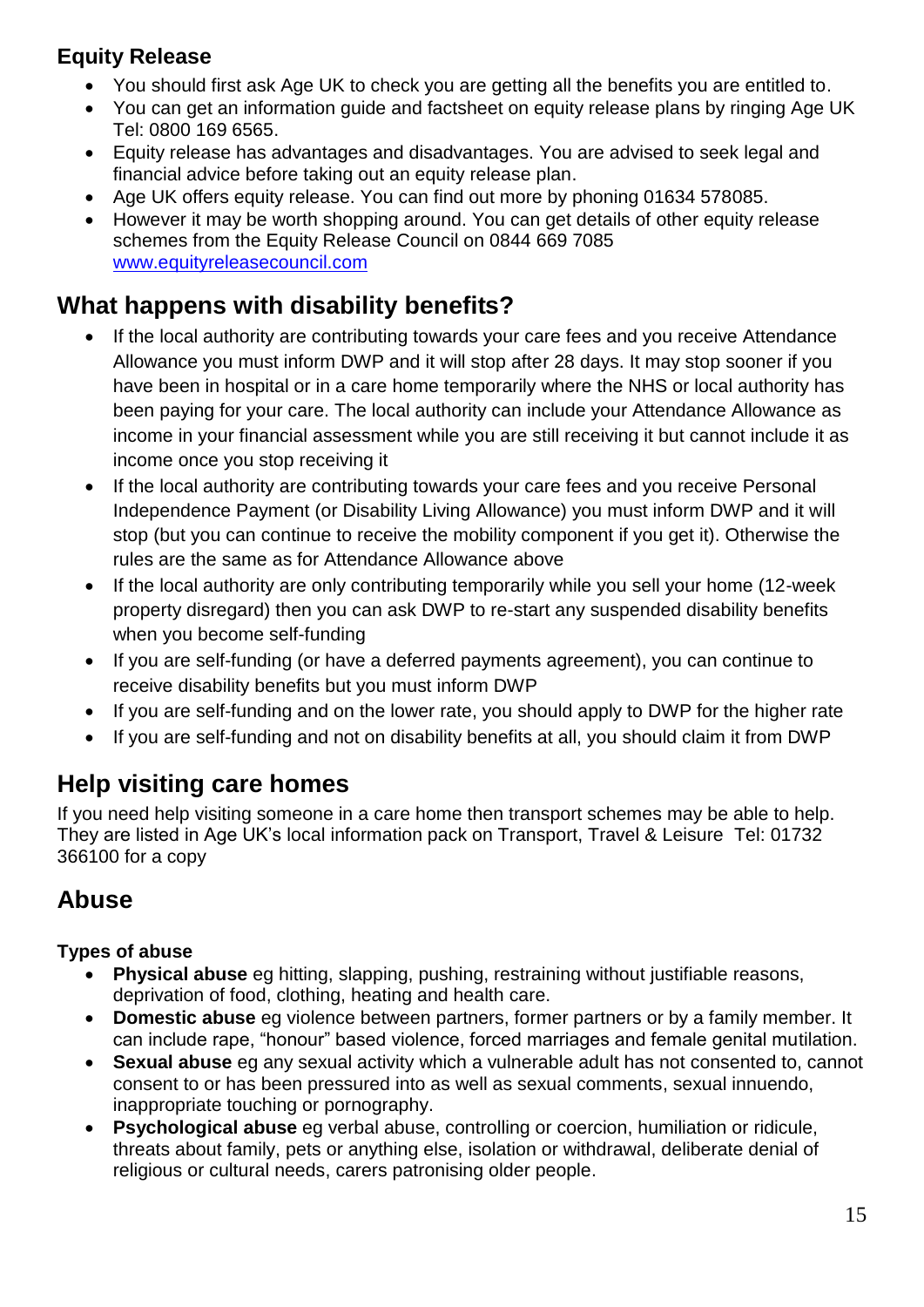# <span id="page-14-0"></span>**Equity Release**

- You should first ask Age UK to check you are getting all the benefits you are entitled to.
- You can get an information guide and factsheet on equity release plans by ringing Age UK Tel: 0800 169 6565.
- Equity release has advantages and disadvantages. You are advised to seek legal and financial advice before taking out an equity release plan.
- Age UK offers equity release. You can find out more by phoning 01634 578085.
- However it may be worth shopping around. You can get details of other equity release schemes from the Equity Release Council on 0844 669 7085 [www.equityreleasecouncil.com](http://www.equityreleasecouncil.com/)

# <span id="page-14-1"></span>**What happens with disability benefits?**

- If the local authority are contributing towards your care fees and you receive Attendance Allowance you must inform DWP and it will stop after 28 days. It may stop sooner if you have been in hospital or in a care home temporarily where the NHS or local authority has been paying for your care. The local authority can include your Attendance Allowance as income in your financial assessment while you are still receiving it but cannot include it as income once you stop receiving it
- If the local authority are contributing towards your care fees and you receive Personal Independence Payment (or Disability Living Allowance) you must inform DWP and it will stop (but you can continue to receive the mobility component if you get it). Otherwise the rules are the same as for Attendance Allowance above
- If the local authority are only contributing temporarily while you sell your home (12-week property disregard) then you can ask DWP to re-start any suspended disability benefits when you become self-funding
- If you are self-funding (or have a deferred payments agreement), you can continue to receive disability benefits but you must inform DWP
- If you are self-funding and on the lower rate, you should apply to DWP for the higher rate
- If you are self-funding and not on disability benefits at all, you should claim it from DWP

# <span id="page-14-2"></span>**Help visiting care homes**

If you need help visiting someone in a care home then transport schemes may be able to help. They are listed in Age UK's local information pack on Transport, Travel & Leisure Tel: 01732 366100 for a copy

# <span id="page-14-3"></span>**Abuse**

### **Types of abuse**

- **Physical abuse** eg hitting, slapping, pushing, restraining without justifiable reasons, deprivation of food, clothing, heating and health care.
- **Domestic abuse** eg violence between partners, former partners or by a family member. It can include rape, "honour" based violence, forced marriages and female genital mutilation.
- **Sexual abuse** eg any sexual activity which a vulnerable adult has not consented to, cannot consent to or has been pressured into as well as sexual comments, sexual innuendo, inappropriate touching or pornography.
- **Psychological abuse** eg verbal abuse, controlling or coercion, humiliation or ridicule, threats about family, pets or anything else, isolation or withdrawal, deliberate denial of religious or cultural needs, carers patronising older people.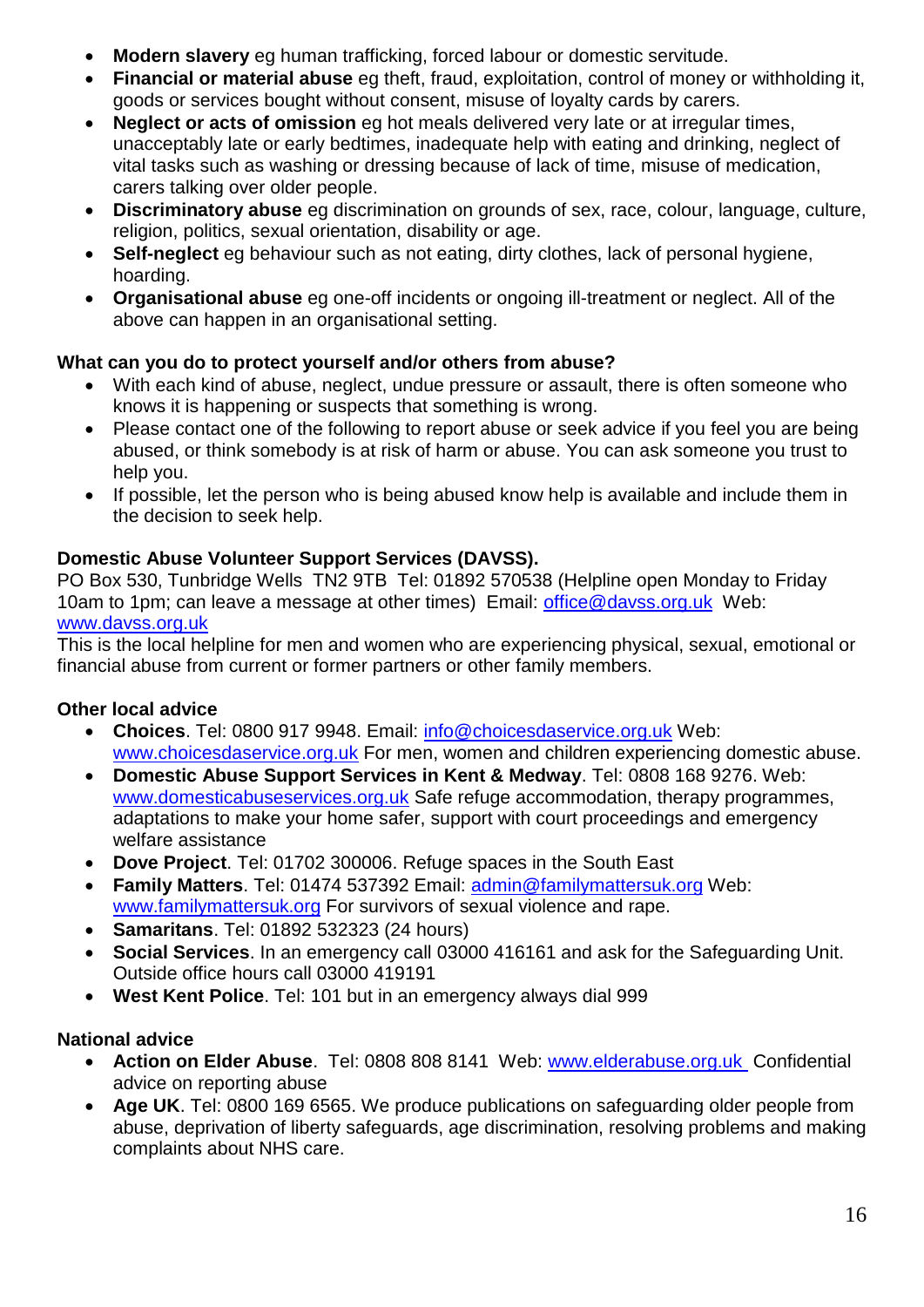- **Modern slavery** eg human trafficking, forced labour or domestic servitude.
- **Financial or material abuse** eg theft, fraud, exploitation, control of money or withholding it, goods or services bought without consent, misuse of loyalty cards by carers.
- **Neglect or acts of omission** eg hot meals delivered very late or at irregular times, unacceptably late or early bedtimes, inadequate help with eating and drinking, neglect of vital tasks such as washing or dressing because of lack of time, misuse of medication, carers talking over older people.
- **Discriminatory abuse** eg discrimination on grounds of sex, race, colour, language, culture, religion, politics, sexual orientation, disability or age.
- **Self-neglect** eg behaviour such as not eating, dirty clothes, lack of personal hygiene, hoarding.
- **Organisational abuse** eg one-off incidents or ongoing ill-treatment or neglect. All of the above can happen in an organisational setting.

### **What can you do to protect yourself and/or others from abuse?**

- With each kind of abuse, neglect, undue pressure or assault, there is often someone who knows it is happening or suspects that something is wrong.
- Please contact one of the following to report abuse or seek advice if you feel you are being abused, or think somebody is at risk of harm or abuse. You can ask someone you trust to help you.
- If possible, let the person who is being abused know help is available and include them in the decision to seek help.

### **Domestic Abuse Volunteer Support Services (DAVSS).**

PO Box 530, Tunbridge Wells TN2 9TB Tel: 01892 570538 (Helpline open Monday to Friday 10am to 1pm; can leave a message at other times) Email: office@davss.org.uk Web: www.davss.org.uk

This is the local helpline for men and women who are experiencing physical, sexual, emotional or financial abuse from current or former partners or other family members.

### **Other local advice**

- **Choices**. Tel: 0800 917 9948. Email: [info@choicesdaservice.org.uk](mailto:info@choicesdaservice.org.uk) Web: [www.choicesdaservice.org.uk](http://www.choicesdaservice.org.uk/) For men, women and children experiencing domestic abuse.
- **Domestic Abuse Support Services in Kent & Medway**. Tel: 0808 168 9276. Web: [www.domesticabuseservices.org.uk](http://www.domesticabuseservices.org.uk/) Safe refuge accommodation, therapy programmes, adaptations to make your home safer, support with court proceedings and emergency welfare assistance
- **Dove Project**. Tel: 01702 300006. Refuge spaces in the South East
- **Family Matters**. Tel: 01474 537392 Email: [admin@familymattersuk.org](mailto:admin@familymattersuk.org) Web: [www.familymattersuk.org](http://www.familymattersuk.org/) For survivors of sexual violence and rape.
- **Samaritans**. Tel: 01892 532323 (24 hours)
- **Social Services**. In an emergency call 03000 416161 and ask for the Safeguarding Unit. Outside office hours call 03000 419191
- **West Kent Police**. Tel: 101 but in an emergency always dial 999

### **National advice**

- **Action on Elder Abuse**. Tel: 0808 808 8141 Web: www.elderabuse.org.uk Confidential advice on reporting abuse
- **Age UK**. Tel: 0800 169 6565. We produce publications on safeguarding older people from abuse, deprivation of liberty safeguards, age discrimination, resolving problems and making complaints about NHS care.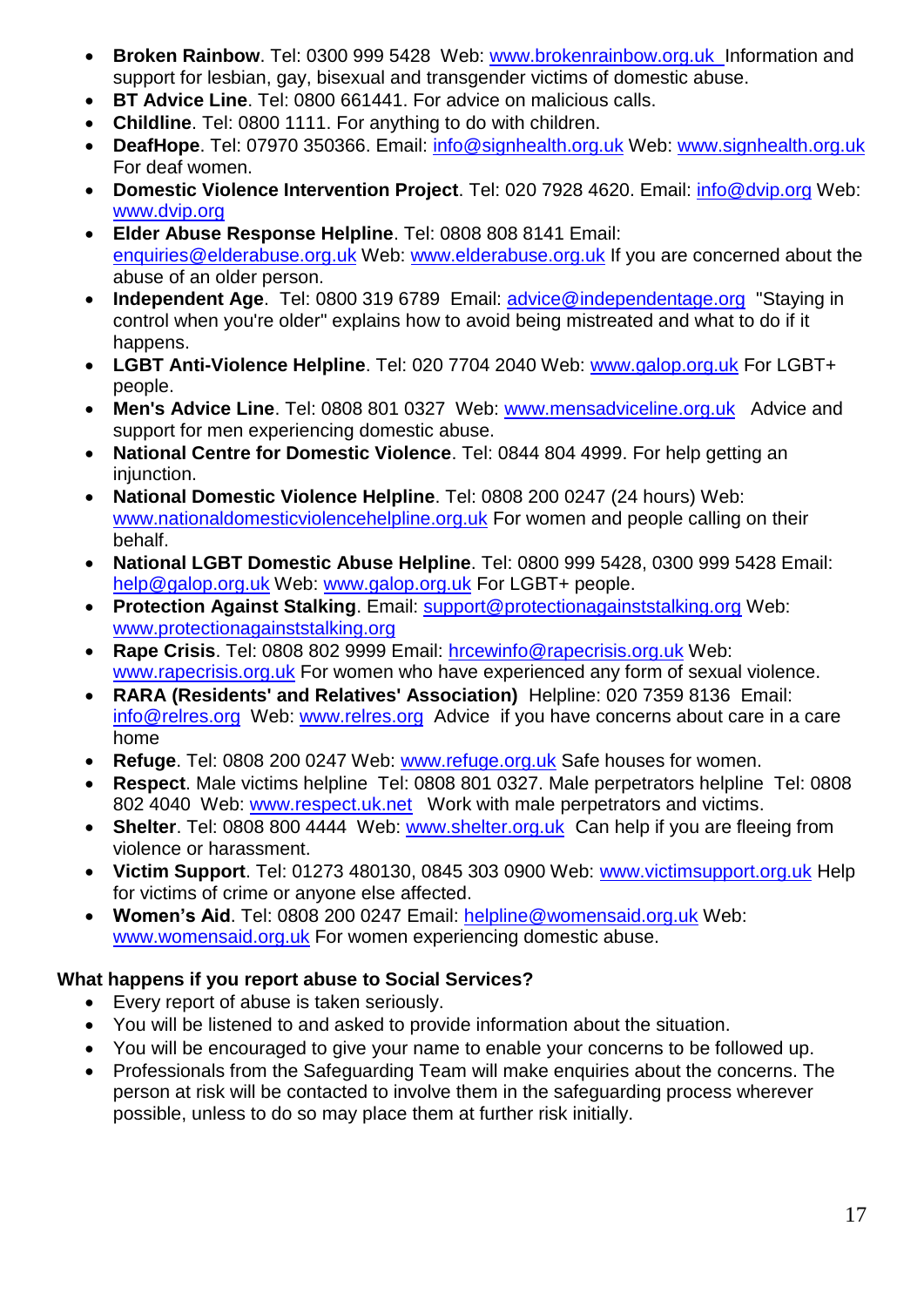- **Broken Rainbow**. Tel: 0300 999 5428 Web: www.brokenrainbow.org.uk Information and support for lesbian, gay, bisexual and transgender victims of domestic abuse.
- **BT Advice Line**. Tel: 0800 661441. For advice on malicious calls.
- **Childline**. Tel: 0800 1111. For anything to do with children.
- **DeafHope**. Tel: 07970 350366. Email: [info@signhealth.org.uk](mailto:info@signhealth.org.uk) Web: [www.signhealth.org.uk](http://www.signhealth.org.uk/) For deaf women.
- **Domestic Violence Intervention Project**. Tel: 020 7928 4620. Email: *info@dvip.org* Web: [www.dvip.org](http://www.dvip.org/)
- **Elder Abuse Response Helpline**. Tel: 0808 808 8141 Email: [enquiries@elderabuse.org.uk](mailto:enquiries@elderabuse.org.uk) Web: [www.elderabuse.org.uk](http://www.elderabuse.org.uk/) If you are concerned about the abuse of an older person.
- **Independent Age**. Tel: 0800 319 6789 Email: advice@independentage.org "Staying in control when you're older" explains how to avoid being mistreated and what to do if it happens.
- **LGBT Anti-Violence Helpline**. Tel: 020 7704 2040 Web: [www.galop.org.uk](http://www.galop.org.uk/) For LGBT+ people.
- **Men's Advice Line**. Tel: 0808 801 0327 Web: www.mensadviceline.org.uk Advice and support for men experiencing domestic abuse.
- **National Centre for Domestic Violence**. Tel: 0844 804 4999. For help getting an injunction.
- **National Domestic Violence Helpline**. Tel: 0808 200 0247 (24 hours) Web: [www.nationaldomesticviolencehelpline.org.uk](http://www.nationaldomesticviolencehelpline.org.uk/) For women and people calling on their behalf.
- **National LGBT Domestic Abuse Helpline**. Tel: 0800 999 5428, 0300 999 5428 Email: [help@galop.org.uk](mailto:help@galop.org.uk) Web: [www.galop.org.uk](http://www.galop.org.uk/) For LGBT+ people.
- **Protection Against Stalking**. Email: [support@protectionagainststalking.org](mailto:support@protectionagainststalking.org) Web: [www.protectionagainststalking.org](http://www.protectionagainststalking.org/)
- **Rape Crisis**. Tel: 0808 802 9999 Email: [hrcewinfo@rapecrisis.org.uk](mailto:hrcewinfo@rapecrisis.org.uk) Web: [www.rapecrisis.org.uk](http://www.rapecrisis.org.uk/) For women who have experienced any form of sexual violence.
- **RARA (Residents' and Relatives' Association)** Helpline: 020 7359 8136 Email: info@relres.org Web: www.relres.org Advice if you have concerns about care in a care home
- **Refuge**. Tel: 0808 200 0247 Web: [www.refuge.org.uk](http://www.refuge.org.uk/) Safe houses for women.
- **Respect**. Male victims helpline Tel: 0808 801 0327. Male perpetrators helpline Tel: 0808 802 4040 Web: www.respect.uk.net Work with male perpetrators and victims.
- **Shelter**. Tel: 0808 800 4444 Web: [www.shelter.org.uk](http://www.shelter.org.uk/) Can help if you are fleeing from violence or harassment.
- **Victim Support**. Tel: 01273 480130, 0845 303 0900 Web: [www.victimsupport.org.uk](http://www.victimsupport.org.uk/) Help for victims of crime or anyone else affected.
- **Women's Aid**. Tel: 0808 200 0247 Email: [helpline@womensaid.org.uk](mailto:helpline@womensaid.org.uk) Web: [www.womensaid.org.uk](http://www.womensaid.org.uk/) For women experiencing domestic abuse.

### **What happens if you report abuse to Social Services?**

- Every report of abuse is taken seriously.
- You will be listened to and asked to provide information about the situation.
- You will be encouraged to give your name to enable your concerns to be followed up.
- Professionals from the Safeguarding Team will make enquiries about the concerns. The person at risk will be contacted to involve them in the safeguarding process wherever possible, unless to do so may place them at further risk initially.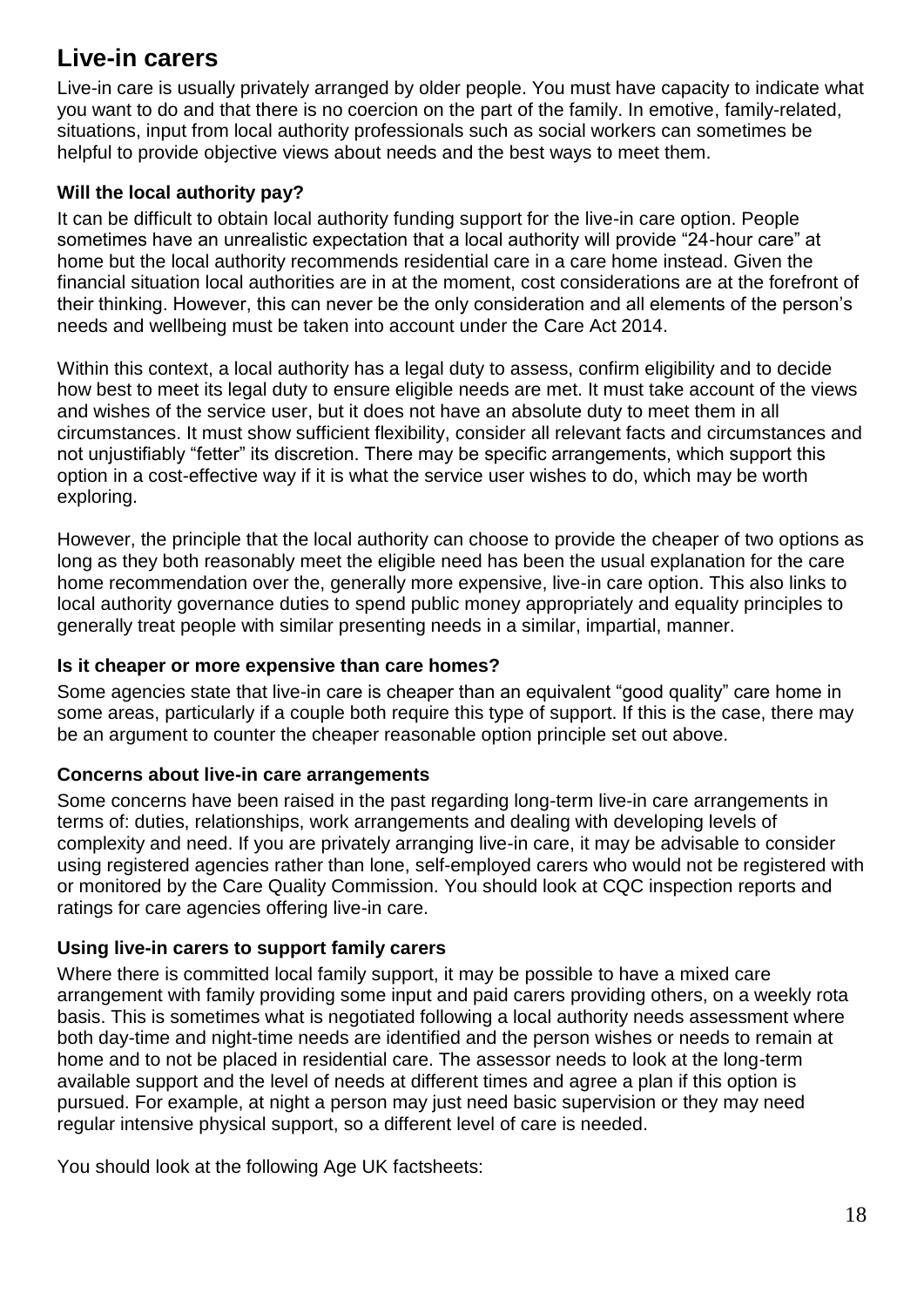# <span id="page-17-0"></span>**Live-in carers**

Live-in care is usually privately arranged by older people. You must have capacity to indicate what you want to do and that there is no coercion on the part of the family. In emotive, family-related, situations, input from local authority professionals such as social workers can sometimes be helpful to provide objective views about needs and the best ways to meet them.

#### <span id="page-17-1"></span>**Will the local authority pay?**

It can be difficult to obtain local authority funding support for the live-in care option. People sometimes have an unrealistic expectation that a local authority will provide "24-hour care" at home but the local authority recommends residential care in a care home instead. Given the financial situation local authorities are in at the moment, cost considerations are at the forefront of their thinking. However, this can never be the only consideration and all elements of the person's needs and wellbeing must be taken into account under the Care Act 2014.

Within this context, a local authority has a legal duty to assess, confirm eligibility and to decide how best to meet its legal duty to ensure eligible needs are met. It must take account of the views and wishes of the service user, but it does not have an absolute duty to meet them in all circumstances. It must show sufficient flexibility, consider all relevant facts and circumstances and not unjustifiably "fetter" its discretion. There may be specific arrangements, which support this option in a cost-effective way if it is what the service user wishes to do, which may be worth exploring.

However, the principle that the local authority can choose to provide the cheaper of two options as long as they both reasonably meet the eligible need has been the usual explanation for the care home recommendation over the, generally more expensive, live-in care option. This also links to local authority governance duties to spend public money appropriately and equality principles to generally treat people with similar presenting needs in a similar, impartial, manner.

### <span id="page-17-2"></span>**Is it cheaper or more expensive than care homes?**

Some agencies state that live-in care is cheaper than an equivalent "good quality" care home in some areas, particularly if a couple both require this type of support. If this is the case, there may be an argument to counter the cheaper reasonable option principle set out above.

### <span id="page-17-3"></span>**Concerns about live-in care arrangements**

Some concerns have been raised in the past regarding long-term live-in care arrangements in terms of: duties, relationships, work arrangements and dealing with developing levels of complexity and need. If you are privately arranging live-in care, it may be advisable to consider using registered agencies rather than lone, self-employed carers who would not be registered with or monitored by the Care Quality Commission. You should look at CQC inspection reports and ratings for care agencies offering live-in care.

### <span id="page-17-4"></span>**Using live-in carers to support family carers**

Where there is committed local family support, it may be possible to have a mixed care arrangement with family providing some input and paid carers providing others, on a weekly rota basis. This is sometimes what is negotiated following a local authority needs assessment where both day-time and night-time needs are identified and the person wishes or needs to remain at home and to not be placed in residential care. The assessor needs to look at the long-term available support and the level of needs at different times and agree a plan if this option is pursued. For example, at night a person may just need basic supervision or they may need regular intensive physical support, so a different level of care is needed.

You should look at the following Age UK factsheets: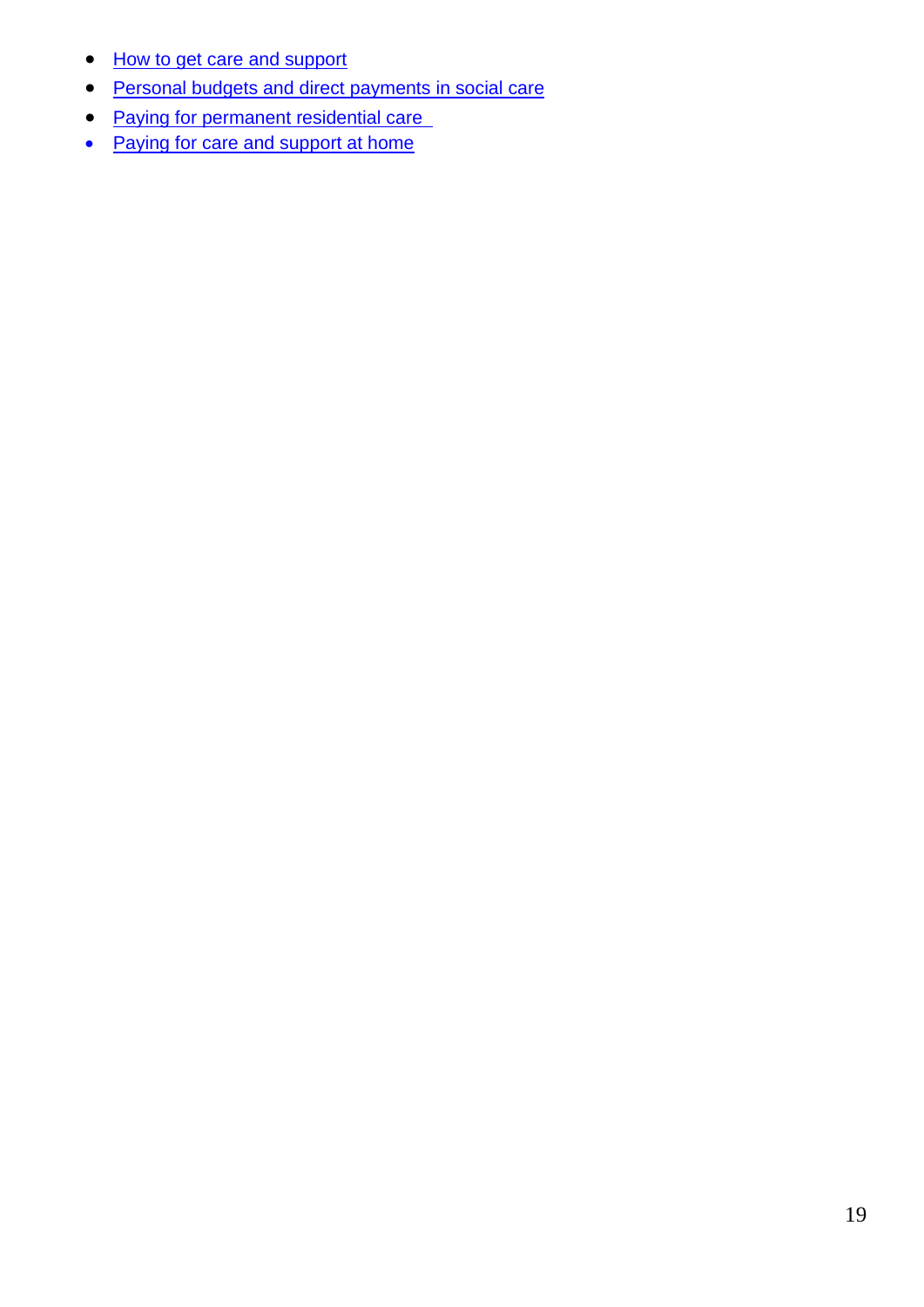- [How to get care and support](file:///E:/How%20to%20get%20care%20and%20support)
- **•** [Personal budgets and direct payments in social care](file:///E:/Personal%20budgets%20and%20direct%20payments%20in%20social%20care)
- [Paying for permanent residential care](file:///E:/Paying%20for%20permanent%20residential%20care)
- [Paying for care and support at home](file:///E:/Paying%20for%20care%20and%20support%20at%20home)